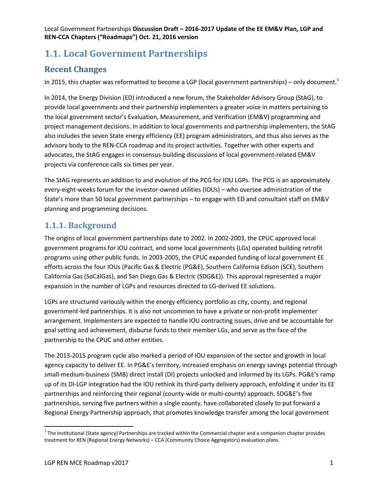# **1.1. Local Government Partnerships**

### **Recent Changes**

In 2015, this chapter was reformatted to become a LGP (local government partnerships) – only document.<sup>1</sup>

In 2014, the Energy Division (ED) introduced a new forum, the Stakeholder Advisory Group (StAG), to provide local governments and their partnership implementers a greater voice in matters pertaining to the local government sector's Evaluation, Measurement, and Verification (EM&V) programming and project management decisions. In addition to local governments and partnership implementers, the StAG also includes the seven State energy efficiency (EE) program administrators, and thus also serves as the advisory body to the REN-CCA roadmap and its project activities. Together with other experts and advocates, the StAG engages in consensus-building discussions of local government-related EM&V projects via conference calls six times per year.

The StAG represents an addition to and evolution of the PCG for IOU LGPs. The PCG is an approximately every-eight-weeks forum for the investor-owned utilities (IOUs) – who oversee administration of the State's more than 50 local government partnerships – to engage with ED and consultant staff on EM&V planning and programming decisions.

### **1.1.1. Background**

The origins of local government partnerships date to 2002. In 2002-2003, the CPUC approved local government programs for IOU contract, and some local governments (LGs) operated building retrofit programs using other public funds. In 2003-2005, the CPUC expanded funding of local government EE efforts across the four IOUs (Pacific Gas & Electric (PG&E), Southern California Edison (SCE), Southern California Gas (SoCalGas), and San Diego Gas & Electric (SDG&E)). This approval represented a major expansion in the number of LGPs and resources directed to LG-derived EE solutions.

LGPs are structured variously within the energy efficiency portfolio as city, county, and regional government-led partnerships. It is also not uncommon to have a private or non-profit implementer arrangement. Implementers are expected to handle IOU contracting issues, drive and be accountable for goal setting and achievement, disburse funds to their member LGs, and serve as the face of the partnership to the CPUC and other entities.

The 2013-2015 program cycle also marked a period of IOU expansion of the sector and growth in local agency capacity to deliver EE. In PG&E's territory, increased emphasis on energy savings potential through small-medium-business (SMB) direct install (DI) projects unlocked and informed by its LGPs. PG&E's ramp up of its DI-LGP integration had the IOU rethink its third-party delivery approach, enfolding it under its EE partnerships and reinforcing their regional (county-wide or multi-county) approach. SDG&E's five partnerships, serving five partners within a single county, have collaborated closely to put forward a Regional Energy Partnership approach, that promotes knowledge transfer among the local government

 1 The Institutional (State agency) Partnerships are tracked within the Commercial chapter and a companion chapter provides treatment for REN (Regional Energy Networks) – CCA (Community Choice Aggregators) evaluation plans.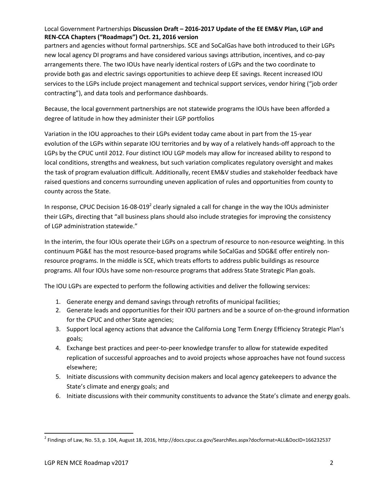partners and agencies without formal partnerships. SCE and SoCalGas have both introduced to their LGPs new local agency DI programs and have considered various savings attribution, incentives, and co-pay arrangements there. The two IOUs have nearly identical rosters of LGPs and the two coordinate to provide both gas and electric savings opportunities to achieve deep EE savings. Recent increased IOU services to the LGPs include project management and technical support services, vendor hiring ("job order contracting"), and data tools and performance dashboards.

Because, the local government partnerships are not statewide programs the IOUs have been afforded a degree of latitude in how they administer their LGP portfolios

Variation in the IOU approaches to their LGPs evident today came about in part from the 15-year evolution of the LGPs within separate IOU territories and by way of a relatively hands-off approach to the LGPs by the CPUC until 2012. Four distinct IOU LGP models may allow for increased ability to respond to local conditions, strengths and weakness, but such variation complicates regulatory oversight and makes the task of program evaluation difficult. Additionally, recent EM&V studies and stakeholder feedback have raised questions and concerns surrounding uneven application of rules and opportunities from county to county across the State.

In response, CPUC Decision 16-08-019<sup>2</sup> clearly signaled a call for change in the way the IOUs administer their LGPs, directing that "all business plans should also include strategies for improving the consistency of LGP administration statewide."

In the interim, the four IOUs operate their LGPs on a spectrum of resource to non-resource weighting. In this continuum PG&E has the most resource-based programs while SoCalGas and SDG&E offer entirely nonresource programs. In the middle is SCE, which treats efforts to address public buildings as resource programs. All four IOUs have some non-resource programs that address State Strategic Plan goals.

The IOU LGPs are expected to perform the following activities and deliver the following services:

- 1. Generate energy and demand savings through retrofits of municipal facilities;
- 2. Generate leads and opportunities for their IOU partners and be a source of on-the-ground information for the CPUC and other State agencies;
- 3. Support local agency actions that advance the California Long Term Energy Efficiency Strategic Plan's goals;
- 4. Exchange best practices and peer-to-peer knowledge transfer to allow for statewide expedited replication of successful approaches and to avoid projects whose approaches have not found success elsewhere;
- 5. Initiate discussions with community decision makers and local agency gatekeepers to advance the State's climate and energy goals; and
- 6. Initiate discussions with their community constituents to advance the State's climate and energy goals.

 $\overline{\phantom{a}}$ 

 $^2$  Findings of Law, No. 53, p. 104, August 18, 2016, http://docs.cpuc.ca.gov/SearchRes.aspx?docformat=ALL&DocID=166232537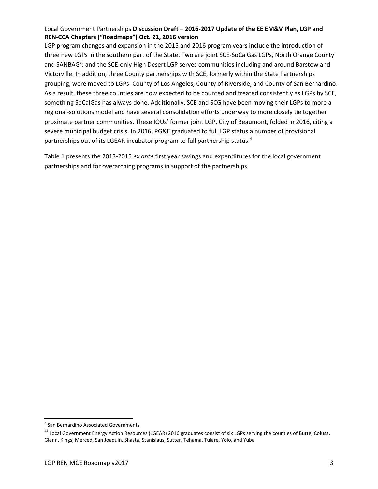LGP program changes and expansion in the 2015 and 2016 program years include the introduction of three new LGPs in the southern part of the State. Two are joint SCE-SoCalGas LGPs, North Orange County and SANBAG<sup>3</sup>; and the SCE-only High Desert LGP serves communities including and around Barstow and Victorville. In addition, three County partnerships with SCE, formerly within the State Partnerships grouping, were moved to LGPs: County of Los Angeles, County of Riverside, and County of San Bernardino. As a result, these three counties are now expected to be counted and treated consistently as LGPs by SCE, something SoCalGas has always done. Additionally, SCE and SCG have been moving their LGPs to more a regional-solutions model and have several consolidation efforts underway to more closely tie together proximate partner communities. These IOUs' former joint LGP, City of Beaumont, folded in 2016, citing a severe municipal budget crisis. In 2016, PG&E graduated to full LGP status a number of provisional partnerships out of its LGEAR incubator program to full partnership status.<sup>4</sup>

Table 1 presents the 2013-2015 *ex ante* first year savings and expenditures for the local government partnerships and for overarching programs in support of the partnerships

 $\overline{\phantom{a}}$ 

<sup>&</sup>lt;sup>3</sup> San Bernardino Associated Governments

<sup>&</sup>lt;sup>44</sup> Local Government Energy Action Resources (LGEAR) 2016 graduates consist of six LGPs serving the counties of Butte, Colusa, Glenn, Kings, Merced, San Joaquin, Shasta, Stanislaus, Sutter, Tehama, Tulare, Yolo, and Yuba.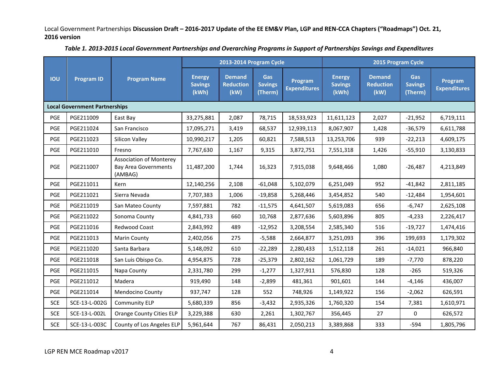|            |                                      |                                                                   | 2013-2014 Program Cycle                  |                                           |                                  | 2015 Program Cycle             |                                          |                                           |                                         |                                |
|------------|--------------------------------------|-------------------------------------------------------------------|------------------------------------------|-------------------------------------------|----------------------------------|--------------------------------|------------------------------------------|-------------------------------------------|-----------------------------------------|--------------------------------|
| <b>IOU</b> | <b>Program ID</b>                    | <b>Program Name</b>                                               | <b>Energy</b><br><b>Savings</b><br>(kWh) | <b>Demand</b><br><b>Reduction</b><br>(kW) | Gas<br><b>Savings</b><br>(Therm) | Program<br><b>Expenditures</b> | <b>Energy</b><br><b>Savings</b><br>(kWh) | <b>Demand</b><br><b>Reduction</b><br>(kW) | <b>Gas</b><br><b>Savings</b><br>(Therm) | Program<br><b>Expenditures</b> |
|            | <b>Local Government Partnerships</b> |                                                                   |                                          |                                           |                                  |                                |                                          |                                           |                                         |                                |
| PGE        | PGE211009                            | East Bay                                                          | 33,275,881                               | 2,087                                     | 78,715                           | 18,533,923                     | 11,611,123                               | 2,027                                     | $-21,952$                               | 6,719,111                      |
| PGE        | PGE211024                            | San Francisco                                                     | 17,095,271                               | 3,419                                     | 68,537                           | 12,939,113                     | 8,067,907                                | 1,428                                     | $-36,579$                               | 6,611,788                      |
| PGE        | PGE211023                            | Silicon Valley                                                    | 10,990,217                               | 1,205                                     | 60,821                           | 7,588,513                      | 13,253,706                               | 939                                       | $-22,213$                               | 4,609,175                      |
| PGE        | PGE211010                            | Fresno                                                            | 7,767,630                                | 1,167                                     | 9,315                            | 3,872,751                      | 7,551,318                                | 1,426                                     | $-55,910$                               | 3,130,833                      |
| PGE        | PGE211007                            | <b>Association of Monterey</b><br>Bay Area Governments<br>(AMBAG) | 11,487,200                               | 1,744                                     | 16,323                           | 7,915,038                      | 9,648,466                                | 1,080                                     | $-26,487$                               | 4,213,849                      |
| PGE        | PGE211011                            | Kern                                                              | 12,140,256                               | 2,108                                     | $-61,048$                        | 5,102,079                      | 6,251,049                                | 952                                       | $-41,842$                               | 2,811,185                      |
| PGE        | PGE211021                            | Sierra Nevada                                                     | 7,707,383                                | 1,006                                     | $-19,858$                        | 5,268,446                      | 3,454,852                                | 540                                       | $-12,484$                               | 1,954,601                      |
| PGE        | PGE211019                            | San Mateo County                                                  | 7,597,881                                | 782                                       | $-11,575$                        | 4,641,507                      | 5,619,083                                | 656                                       | $-6,747$                                | 2,625,108                      |
| PGE        | PGE211022                            | Sonoma County                                                     | 4,841,733                                | 660                                       | 10,768                           | 2,877,636                      | 5,603,896                                | 805                                       | $-4,233$                                | 2,226,417                      |
| PGE        | PGE211016                            | Redwood Coast                                                     | 2,843,992                                | 489                                       | $-12,952$                        | 3,208,554                      | 2,585,340                                | 516                                       | $-19,727$                               | 1,474,416                      |
| PGE        | PGE211013                            | Marin County                                                      | 2,402,056                                | 275                                       | $-5,588$                         | 2,664,877                      | 3,251,093                                | 396                                       | 199,693                                 | 1,179,302                      |
| PGE        | PGE211020                            | Santa Barbara                                                     | 5,148,092                                | 610                                       | $-22,289$                        | 2,280,433                      | 1,512,118                                | 261                                       | $-14,021$                               | 966,840                        |
| PGE        | PGE211018                            | San Luis Obispo Co.                                               | 4,954,875                                | 728                                       | $-25,379$                        | 2,802,162                      | 1,061,729                                | 189                                       | $-7,770$                                | 878,220                        |
| <b>PGE</b> | PGE211015                            | Napa County                                                       | 2,331,780                                | 299                                       | $-1,277$                         | 1,327,911                      | 576,830                                  | 128                                       | $-265$                                  | 519,326                        |
| PGE        | PGE211012                            | Madera                                                            | 919,490                                  | 148                                       | $-2,899$                         | 481,361                        | 901,601                                  | 144                                       | $-4,146$                                | 436,007                        |
| PGE        | PGE211014                            | Mendocino County                                                  | 937,747                                  | 128                                       | 552                              | 748,926                        | 1,149,922                                | 156                                       | $-2,062$                                | 626,591                        |
| <b>SCE</b> | SCE-13-L-002G                        | Community ELP                                                     | 5,680,339                                | 856                                       | $-3,432$                         | 2,935,326                      | 1,760,320                                | 154                                       | 7,381                                   | 1,610,971                      |
| <b>SCE</b> | SCE-13-L-002L                        | <b>Orange County Cities ELP</b>                                   | 3,229,388                                | 630                                       | 2,261                            | 1,302,767                      | 356,445                                  | 27                                        | $\mathbf 0$                             | 626,572                        |
| <b>SCE</b> | SCE-13-L-003C                        | County of Los Angeles ELP                                         | 5,961,644                                | 767                                       | 86,431                           | 2,050,213                      | 3,389,868                                | 333                                       | $-594$                                  | 1,805,796                      |

*Table 1. 2013-2015 Local Government Partnerships and Overarching Programs in Support of Partnerships Savings and Expenditures*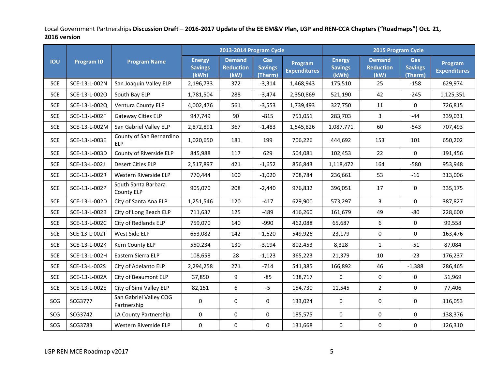|            |                   |                                        | 2013-2014 Program Cycle                  |                                           |                                  | 2015 Program Cycle             |                                          |                                           |                                         |                                |
|------------|-------------------|----------------------------------------|------------------------------------------|-------------------------------------------|----------------------------------|--------------------------------|------------------------------------------|-------------------------------------------|-----------------------------------------|--------------------------------|
| <b>IOU</b> | <b>Program ID</b> | <b>Program Name</b>                    | <b>Energy</b><br><b>Savings</b><br>(kWh) | <b>Demand</b><br><b>Reduction</b><br>(kW) | Gas<br><b>Savings</b><br>(Therm) | Program<br><b>Expenditures</b> | <b>Energy</b><br><b>Savings</b><br>(kWh) | <b>Demand</b><br><b>Reduction</b><br>(kW) | <b>Gas</b><br><b>Savings</b><br>(Therm) | Program<br><b>Expenditures</b> |
| <b>SCE</b> | SCE-13-L-002N     | San Joaquin Valley ELP                 | 2,196,733                                | 372                                       | $-3,314$                         | 1,468,943                      | 175,510                                  | 25                                        | $-158$                                  | 629,974                        |
| <b>SCE</b> | SCE-13-L-002O     | South Bay ELP                          | 1,781,504                                | 288                                       | $-3,474$                         | 2,350,869                      | 521,190                                  | 42                                        | $-245$                                  | 1,125,351                      |
| <b>SCE</b> | SCE-13-L-002Q     | Ventura County ELP                     | 4,002,476                                | 561                                       | $-3,553$                         | 1,739,493                      | 327,750                                  | 11                                        | $\mathbf 0$                             | 726,815                        |
| <b>SCE</b> | SCE-13-L-002F     | Gateway Cities ELP                     | 947,749                                  | 90                                        | $-815$                           | 751,051                        | 283,703                                  | $\mathbf{3}$                              | $-44$                                   | 339,031                        |
| <b>SCE</b> | SCE-13-L-002M     | San Gabriel Valley ELP                 | 2,872,891                                | 367                                       | $-1,483$                         | 1,545,826                      | 1,087,771                                | 60                                        | $-543$                                  | 707,493                        |
| <b>SCE</b> | SCE-13-L-003E     | County of San Bernardino<br><b>ELP</b> | 1,020,650                                | 181                                       | 199                              | 706,226                        | 444,692                                  | 153                                       | 101                                     | 650,202                        |
| <b>SCE</b> | SCE-13-L-003D     | County of Riverside ELP                | 845,988                                  | 117                                       | 629                              | 504,081                        | 102,453                                  | 22                                        | $\mathbf 0$                             | 191,456                        |
| <b>SCE</b> | SCE-13-L-002J     | <b>Desert Cities ELP</b>               | 2,517,897                                | 421                                       | $-1,652$                         | 856,843                        | 1,118,472                                | 164                                       | $-580$                                  | 953,948                        |
| <b>SCE</b> | SCE-13-L-002R     | Western Riverside ELP                  | 770,444                                  | 100                                       | $-1,020$                         | 708,784                        | 236,661                                  | 53                                        | $-16$                                   | 313,006                        |
| <b>SCE</b> | SCE-13-L-002P     | South Santa Barbara<br>County ELP      | 905,070                                  | 208                                       | $-2,440$                         | 976,832                        | 396,051                                  | 17                                        | 0                                       | 335,175                        |
| <b>SCE</b> | SCE-13-L-002D     | City of Santa Ana ELP                  | 1,251,546                                | 120                                       | $-417$                           | 629,900                        | 573,297                                  | $\overline{3}$                            | $\mathbf 0$                             | 387,827                        |
| <b>SCE</b> | SCE-13-L-002B     | City of Long Beach ELP                 | 711,637                                  | 125                                       | $-489$                           | 416,260                        | 161,679                                  | 49                                        | $-80$                                   | 228,600                        |
| <b>SCE</b> | SCE-13-L-002C     | City of Redlands ELP                   | 759,070                                  | 140                                       | $-990$                           | 462,088                        | 65,687                                   | 6                                         | $\mathbf 0$                             | 99,558                         |
| <b>SCE</b> | SCE-13-L-002T     | West Side ELP                          | 653,082                                  | 142                                       | $-1,620$                         | 549,926                        | 23,179                                   | $\pmb{0}$                                 | $\mathbf 0$                             | 163,476                        |
| <b>SCE</b> | SCE-13-L-002K     | Kern County ELP                        | 550,234                                  | 130                                       | $-3,194$                         | 802,453                        | 8,328                                    | $\mathbf{1}$                              | $-51$                                   | 87,084                         |
| <b>SCE</b> | SCE-13-L-002H     | Eastern Sierra ELP                     | 108,658                                  | 28                                        | $-1,123$                         | 365,223                        | 21,379                                   | 10                                        | $-23$                                   | 176,237                        |
| <b>SCE</b> | SCE-13-L-002S     | City of Adelanto ELP                   | 2,294,258                                | 271                                       | $-714$                           | 541,385                        | 166,892                                  | 46                                        | $-1,388$                                | 286,465                        |
| <b>SCE</b> | SCE-13-L-002A     | City of Beaumont ELP                   | 37,850                                   | 9                                         | $-85$                            | 138,717                        | $\mathbf{0}$                             | $\pmb{0}$                                 | $\mathbf 0$                             | 51,969                         |
| <b>SCE</b> | SCE-13-L-002E     | City of Simi Valley ELP                | 82,151                                   | 6                                         | $-5$                             | 154,730                        | 11,545                                   | $\overline{2}$                            | $\mathbf 0$                             | 77,406                         |
| SCG        | SCG3777           | San Gabriel Valley COG<br>Partnership  | $\pmb{0}$                                | 0                                         | $\mathbf 0$                      | 133,024                        | 0                                        | 0                                         | 0                                       | 116,053                        |
| SCG        | SCG3742           | LA County Partnership                  | $\pmb{0}$                                | $\mathbf 0$                               | $\mathbf 0$                      | 185,575                        | $\boldsymbol{0}$                         | $\pmb{0}$                                 | $\mathbf 0$                             | 138,376                        |
| SCG        | SCG3783           | Western Riverside ELP                  | $\pmb{0}$                                | 0                                         | 0                                | 131,668                        | $\pmb{0}$                                | $\pmb{0}$                                 | 0                                       | 126,310                        |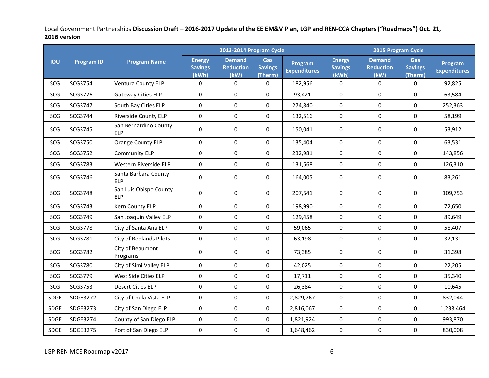|             |                   |                                      | 2013-2014 Program Cycle                  |                                           |                                  | 2015 Program Cycle             |                                          |                                           |                                         |                                |
|-------------|-------------------|--------------------------------------|------------------------------------------|-------------------------------------------|----------------------------------|--------------------------------|------------------------------------------|-------------------------------------------|-----------------------------------------|--------------------------------|
| <b>IOU</b>  | <b>Program ID</b> | <b>Program Name</b>                  | <b>Energy</b><br><b>Savings</b><br>(kWh) | <b>Demand</b><br><b>Reduction</b><br>(kW) | Gas<br><b>Savings</b><br>(Therm) | Program<br><b>Expenditures</b> | <b>Energy</b><br><b>Savings</b><br>(kWh) | <b>Demand</b><br><b>Reduction</b><br>(kW) | <b>Gas</b><br><b>Savings</b><br>(Therm) | Program<br><b>Expenditures</b> |
| SCG         | SCG3754           | Ventura County ELP                   | $\pmb{0}$                                | $\mathbf 0$                               | 0                                | 182,956                        | 0                                        | $\mathbf 0$                               | $\mathbf 0$                             | 92,825                         |
| SCG         | SCG3776           | <b>Gateway Cities ELP</b>            | $\pmb{0}$                                | $\mathbf 0$                               | $\mathbf 0$                      | 93,421                         | $\mathbf 0$                              | $\mathbf 0$                               | $\mathbf 0$                             | 63,584                         |
| SCG         | SCG3747           | South Bay Cities ELP                 | $\mathbf 0$                              | $\mathbf 0$                               | 0                                | 274,840                        | 0                                        | $\mathbf 0$                               | $\mathbf 0$                             | 252,363                        |
| SCG         | SCG3744           | <b>Riverside County ELP</b>          | $\pmb{0}$                                | $\mathbf 0$                               | $\mathbf 0$                      | 132,516                        | $\boldsymbol{0}$                         | $\mathbf 0$                               | $\mathbf 0$                             | 58,199                         |
| SCG         | SCG3745           | San Bernardino County<br><b>ELP</b>  | $\pmb{0}$                                | $\mathbf 0$                               | $\mathbf 0$                      | 150,041                        | $\boldsymbol{0}$                         | $\pmb{0}$                                 | $\mathbf 0$                             | 53,912                         |
| SCG         | SCG3750           | Orange County ELP                    | $\pmb{0}$                                | $\mathbf 0$                               | $\mathbf 0$                      | 135,404                        | 0                                        | 0                                         | 0                                       | 63,531                         |
| SCG         | SCG3752           | <b>Community ELP</b>                 | $\mathbf 0$                              | $\mathbf 0$                               | $\mathbf 0$                      | 232,981                        | $\mathbf 0$                              | $\mathbf 0$                               | $\mathbf 0$                             | 143,856                        |
| SCG         | SCG3783           | Western Riverside ELP                | $\mathbf 0$                              | $\mathbf 0$                               | $\mathbf 0$                      | 131,668                        | $\mathbf 0$                              | $\mathbf 0$                               | $\mathbf 0$                             | 126,310                        |
| SCG         | SCG3746           | Santa Barbara County<br><b>ELP</b>   | $\mathbf 0$                              | $\mathbf 0$                               | $\mathbf 0$                      | 164,005                        | $\boldsymbol{0}$                         | 0                                         | 0                                       | 83,261                         |
| SCG         | SCG3748           | San Luis Obispo County<br><b>ELP</b> | $\pmb{0}$                                | 0                                         | 0                                | 207,641                        | 0                                        | 0                                         | $\mathbf 0$                             | 109,753                        |
| SCG         | SCG3743           | Kern County ELP                      | $\mathbf 0$                              | 0                                         | $\mathbf 0$                      | 198,990                        | $\mathbf 0$                              | $\mathbf 0$                               | $\mathbf 0$                             | 72,650                         |
| SCG         | SCG3749           | San Joaquin Valley ELP               | $\pmb{0}$                                | $\mathbf 0$                               | 0                                | 129,458                        | $\boldsymbol{0}$                         | $\pmb{0}$                                 | $\mathbf 0$                             | 89,649                         |
| SCG         | SCG3778           | City of Santa Ana ELP                | $\mathbf 0$                              | $\mathbf 0$                               | 0                                | 59,065                         | 0                                        | $\pmb{0}$                                 | $\mathbf 0$                             | 58,407                         |
| SCG         | SCG3781           | City of Redlands Pilots              | $\mathbf 0$                              | $\mathbf 0$                               | 0                                | 63,198                         | $\mathbf 0$                              | $\mathbf 0$                               | $\mathbf 0$                             | 32,131                         |
| SCG         | SCG3782           | City of Beaumont<br>Programs         | 0                                        | 0                                         | $\mathbf 0$                      | 73,385                         | 0                                        | 0                                         | 0                                       | 31,398                         |
| SCG         | SCG3780           | City of Simi Valley ELP              | $\mathbf 0$                              | $\mathbf 0$                               | 0                                | 42,025                         | $\mathbf 0$                              | $\mathbf 0$                               | 0                                       | 22,205                         |
| SCG         | SCG3779           | West Side Cities ELP                 | $\mathbf 0$                              | $\mathbf 0$                               | $\mathbf 0$                      | 17,711                         | 0                                        | $\mathbf 0$                               | $\mathbf 0$                             | 35,340                         |
| SCG         | SCG3753           | <b>Desert Cities ELP</b>             | $\pmb{0}$                                | $\pmb{0}$                                 | 0                                | 26,384                         | 0                                        | 0                                         | $\mathbf 0$                             | 10,645                         |
| <b>SDGE</b> | SDGE3272          | City of Chula Vista ELP              | $\mathbf 0$                              | $\mathbf 0$                               | $\mathbf 0$                      | 2,829,767                      | $\boldsymbol{0}$                         | $\pmb{0}$                                 | $\mathbf 0$                             | 832,044                        |
| SDGE        | SDGE3273          | City of San Diego ELP                | $\mathbf 0$                              | $\mathbf 0$                               | 0                                | 2,816,067                      | 0                                        | $\pmb{0}$                                 | $\mathbf 0$                             | 1,238,464                      |
| SDGE        | SDGE3274          | County of San Diego ELP              | $\pmb{0}$                                | $\pmb{0}$                                 | $\mathbf 0$                      | 1,821,924                      | $\mathbf 0$                              | $\pmb{0}$                                 | $\mathbf 0$                             | 993,870                        |
| <b>SDGE</b> | SDGE3275          | Port of San Diego ELP                | $\pmb{0}$                                | 0                                         | 0                                | 1,648,462                      | $\pmb{0}$                                | $\pmb{0}$                                 | 0                                       | 830,008                        |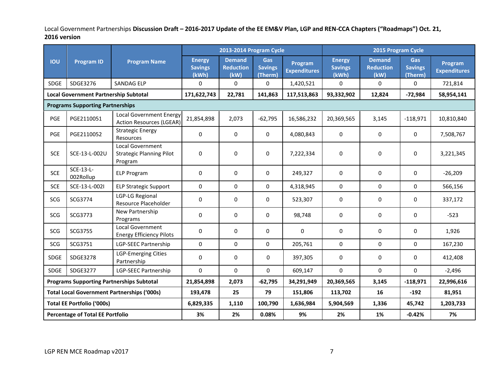|                                                    |                                         |                                                                   | 2013-2014 Program Cycle                  |                                           |                                         |                                | 2015 Program Cycle                       |                                           |                                         |                                |
|----------------------------------------------------|-----------------------------------------|-------------------------------------------------------------------|------------------------------------------|-------------------------------------------|-----------------------------------------|--------------------------------|------------------------------------------|-------------------------------------------|-----------------------------------------|--------------------------------|
| <b>IOU</b>                                         | <b>Program ID</b>                       | <b>Program Name</b>                                               | <b>Energy</b><br><b>Savings</b><br>(kWh) | <b>Demand</b><br><b>Reduction</b><br>(kW) | <b>Gas</b><br><b>Savings</b><br>(Therm) | Program<br><b>Expenditures</b> | <b>Energy</b><br><b>Savings</b><br>(kWh) | <b>Demand</b><br><b>Reduction</b><br>(kW) | <b>Gas</b><br><b>Savings</b><br>(Therm) | Program<br><b>Expenditures</b> |
| <b>SDGE</b>                                        | SDGE3276                                | <b>SANDAG ELP</b>                                                 | $\pmb{0}$                                | 0                                         | 0                                       | 1,420,521                      | 0                                        | 0                                         | 0                                       | 721,814                        |
| <b>Local Government Partnership Subtotal</b>       |                                         | 171,622,743                                                       | 22,781                                   | 141,863                                   | 117,513,863                             | 93,332,902                     | 12,824                                   | $-72,984$                                 | 58,954,141                              |                                |
|                                                    | <b>Programs Supporting Partnerships</b> |                                                                   |                                          |                                           |                                         |                                |                                          |                                           |                                         |                                |
| PGE                                                | PGE2110051                              | <b>Local Government Energy</b><br><b>Action Resources (LGEAR)</b> | 21,854,898                               | 2,073                                     | $-62,795$                               | 16,586,232                     | 20,369,565                               | 3,145                                     | $-118,971$                              | 10,810,840                     |
| PGE                                                | PGE2110052                              | <b>Strategic Energy</b><br>Resources                              | 0                                        | $\mathbf 0$                               | 0                                       | 4,080,843                      | $\mathbf 0$                              | 0                                         | $\mathbf 0$                             | 7,508,767                      |
| <b>SCE</b>                                         | SCE-13-L-002U                           | Local Government<br><b>Strategic Planning Pilot</b><br>Program    | $\pmb{0}$                                | 0                                         | 0                                       | 7,222,334                      | 0                                        | 0                                         | 0                                       | 3,221,345                      |
| <b>SCE</b>                                         | SCE-13-L-<br>002Rollup                  | <b>ELP Program</b>                                                | 0                                        | 0                                         | $\mathbf 0$                             | 249,327                        | 0                                        | 0                                         | 0                                       | $-26,209$                      |
| <b>SCE</b>                                         | SCE-13-L-0021                           | <b>ELP Strategic Support</b>                                      | $\mathbf 0$                              | 0                                         | $\Omega$                                | 4,318,945                      | $\Omega$                                 | $\Omega$                                  | 0                                       | 566,156                        |
| SCG                                                | SCG3774                                 | LGP-LG Regional<br>Resource Placeholder                           | 0                                        | $\mathbf 0$                               | $\Omega$                                | 523,307                        | $\mathbf 0$                              | 0                                         | $\mathbf 0$                             | 337,172                        |
| SCG                                                | SCG3773                                 | New Partnership<br>Programs                                       | 0                                        | $\mathbf 0$                               | 0                                       | 98,748                         | $\mathbf 0$                              | 0                                         | $\mathbf 0$                             | $-523$                         |
| SCG                                                | SCG3755                                 | Local Government<br><b>Energy Efficiency Pilots</b>               | $\pmb{0}$                                | $\mathbf 0$                               | 0                                       | $\Omega$                       | $\mathbf 0$                              | 0                                         | $\mathbf 0$                             | 1,926                          |
| SCG                                                | SCG3751                                 | LGP-SEEC Partnership                                              | 0                                        | $\mathbf 0$                               | $\mathbf 0$                             | 205,761                        | 0                                        | 0                                         | 0                                       | 167,230                        |
| SDGE                                               | <b>SDGE3278</b>                         | <b>LGP-Emerging Cities</b><br>Partnership                         | $\mathbf 0$                              | $\mathbf 0$                               | $\mathbf 0$                             | 397,305                        | 0                                        | 0                                         | $\mathbf 0$                             | 412,408                        |
| <b>SDGE</b>                                        | <b>SDGE3277</b>                         | LGP-SEEC Partnership                                              | $\Omega$                                 | $\Omega$                                  | $\overline{0}$                          | 609,147                        | $\Omega$                                 | $\Omega$                                  | $\Omega$                                | $-2,496$                       |
| <b>Programs Supporting Partnerships Subtotal</b>   |                                         | 21,854,898                                                        | 2,073                                    | $-62,795$                                 | 34,291,949                              | 20,369,565                     | 3,145                                    | $-118,971$                                | 22,996,616                              |                                |
| <b>Total Local Government Partnerships ('000s)</b> |                                         | 193,478                                                           | 25                                       | 79                                        | 151,806                                 | 113,702                        | 16                                       | $-192$                                    | 81,951                                  |                                |
| <b>Total EE Portfolio ('000s)</b>                  |                                         |                                                                   | 6,829,335                                | 1,110                                     | 100,790                                 | 1,636,984                      | 5,904,569                                | 1,336                                     | 45,742                                  | 1,203,733                      |
| <b>Percentage of Total EE Portfolio</b>            |                                         | 3%                                                                | 2%                                       | 0.08%                                     | 9%                                      | 2%                             | 1%                                       | $-0.42%$                                  | 7%                                      |                                |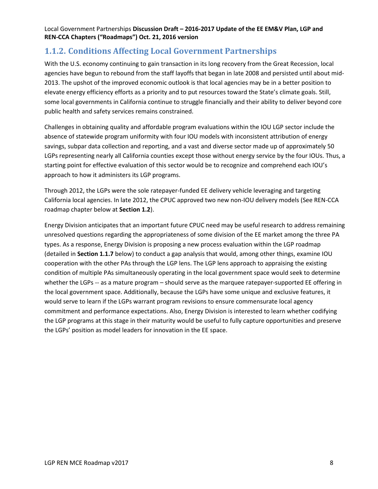### **1.1.2. Conditions Affecting Local Government Partnerships**

With the U.S. economy continuing to gain transaction in its long recovery from the Great Recession, local agencies have begun to rebound from the staff layoffs that began in late 2008 and persisted until about mid-2013. The upshot of the improved economic outlook is that local agencies may be in a better position to elevate energy efficiency efforts as a priority and to put resources toward the State's climate goals. Still, some local governments in California continue to struggle financially and their ability to deliver beyond core public health and safety services remains constrained.

Challenges in obtaining quality and affordable program evaluations within the IOU LGP sector include the absence of statewide program uniformity with four IOU models with inconsistent attribution of energy savings, subpar data collection and reporting, and a vast and diverse sector made up of approximately 50 LGPs representing nearly all California counties except those without energy service by the four IOUs. Thus, a starting point for effective evaluation of this sector would be to recognize and comprehend each IOU's approach to how it administers its LGP programs.

Through 2012, the LGPs were the sole ratepayer-funded EE delivery vehicle leveraging and targeting California local agencies. In late 2012, the CPUC approved two new non-IOU delivery models (See REN-CCA roadmap chapter below at **Section 1.2**).

Energy Division anticipates that an important future CPUC need may be useful research to address remaining unresolved questions regarding the appropriateness of some division of the EE market among the three PA types. As a response, Energy Division is proposing a new process evaluation within the LGP roadmap (detailed in **Section 1.1.7** below) to conduct a gap analysis that would, among other things, examine IOU cooperation with the other PAs through the LGP lens. The LGP lens approach to appraising the existing condition of multiple PAs simultaneously operating in the local government space would seek to determine whether the LGPs -- as a mature program – should serve as the marquee ratepayer-supported EE offering in the local government space. Additionally, because the LGPs have some unique and exclusive features, it would serve to learn if the LGPs warrant program revisions to ensure commensurate local agency commitment and performance expectations. Also, Energy Division is interested to learn whether codifying the LGP programs at this stage in their maturity would be useful to fully capture opportunities and preserve the LGPs' position as model leaders for innovation in the EE space.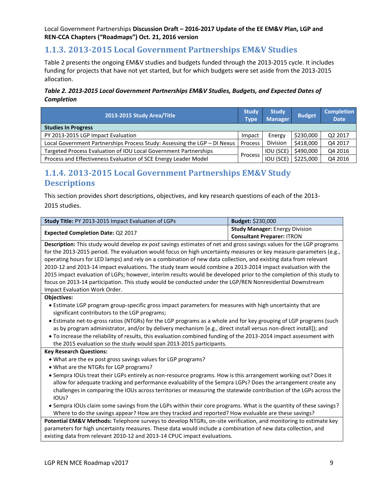### **1.1.3. 2013-2015 Local Government Partnerships EM&V Studies**

[Table 2](#page-8-0) presents the ongoing EM&V studies and budgets funded through the 2013-2015 cycle. It includes funding for projects that have not yet started, but for which budgets were set aside from the 2013-2015 allocation.

#### <span id="page-8-0"></span>*Table 2. 2013-2015 Local Government Partnerships EM&V Studies, Budgets, and Expected Dates of Completion*

| 2013-2015 Study Area/Title                                                |         | <b>Study</b><br><b>Manager</b> | <b>Budget</b> | <b>Completion</b><br><b>Date</b> |
|---------------------------------------------------------------------------|---------|--------------------------------|---------------|----------------------------------|
| <b>Studies In Progress</b>                                                |         |                                |               |                                  |
| PY 2013-2015 LGP Impact Evaluation                                        | Impact  | Energy                         | \$230,000     | Q2 2017                          |
| Local Government Partnerships Process Study: Assessing the LGP - DI Nexus | Process | Division                       | \$418,000     | Q4 2017                          |
| Targeted Process Evaluation of IOU Local Government Partnerships          |         | IOU (SCE)                      | \$490,000     | Q4 2016                          |
| Process and Effectiveness Evaluation of SCE Energy Leader Model           | Process | IOU (SCE)                      | \$225,000     | Q4 2016                          |

### **1.1.4. 2013-2015 Local Government Partnerships EM&V Study Descriptions**

This section provides short descriptions, objectives, and key research questions of each of the 2013- 2015 studies.

| Study Title: PY 2013-2015 Impact Evaluation of LGPs                                                                  | Budget: \$230,000                     |  |  |  |  |  |  |
|----------------------------------------------------------------------------------------------------------------------|---------------------------------------|--|--|--|--|--|--|
|                                                                                                                      | <b>Study Manager: Energy Division</b> |  |  |  |  |  |  |
| Expected Completion Date: Q2 2017                                                                                    | <b>Consultant Preparer: ITRON</b>     |  |  |  |  |  |  |
| Description: This study would develop ex post savings estimates of net and gross savings values for the LGP programs |                                       |  |  |  |  |  |  |
| for the 2013-2015 period. The evaluation would focus on high uncertainty measures or key measure-parameters (e.g.,   |                                       |  |  |  |  |  |  |
| operating hours for LED lamps) and rely on a combination of new data collection, and existing data from relevant     |                                       |  |  |  |  |  |  |
| 2010-12 and 2013-14 impact evaluations. The study team would combine a 2013-2014 impact evaluation with the          |                                       |  |  |  |  |  |  |
| 2015 impact evaluation of LGPs; however, interim results would be developed prior to the completion of this study to |                                       |  |  |  |  |  |  |
| focus on 2013-14 participation. This study would be conducted under the LGP/REN Nonresidential Downstream            |                                       |  |  |  |  |  |  |
| Impact Evaluation Work Order.                                                                                        |                                       |  |  |  |  |  |  |
| <b>Objectives:</b>                                                                                                   |                                       |  |  |  |  |  |  |
| • Estimate LGP program group-specific gross impact parameters for measures with high uncertainty that are            |                                       |  |  |  |  |  |  |
| significant contributors to the LGP programs;                                                                        |                                       |  |  |  |  |  |  |
| • Estimate net-to-gross ratios (NTGRs) for the LGP programs as a whole and for key grouping of LGP programs (such    |                                       |  |  |  |  |  |  |
| as by program administrator, and/or by delivery mechanism [e.g., direct install versus non-direct install]); and     |                                       |  |  |  |  |  |  |
| . To increase the reliability of results, this evaluation combined funding of the 2013-2014 impact assessment with   |                                       |  |  |  |  |  |  |
| the 2015 evaluation so the study would span 2013-2015 participants.                                                  |                                       |  |  |  |  |  |  |
| <b>Key Research Questions:</b>                                                                                       |                                       |  |  |  |  |  |  |
| . What are the ex post gross savings values for LGP programs?                                                        |                                       |  |  |  |  |  |  |
| • What are the NTGRs for LGP programs?                                                                               |                                       |  |  |  |  |  |  |
| • Sempra IOUs treat their LGPs entirely as non-resource programs. How is this arrangement working out? Does it       |                                       |  |  |  |  |  |  |
| allow for adequate tracking and performance evaluability of the Sempra LGPs? Does the arrangement create any         |                                       |  |  |  |  |  |  |
| challenges in comparing the IOUs across territories or measuring the statewide contribution of the LGPs across the   |                                       |  |  |  |  |  |  |
| IOU <sub>s</sub> ?                                                                                                   |                                       |  |  |  |  |  |  |
| • Sempra IOUs claim some savings from the LGPs within their core programs. What is the quantity of these savings?    |                                       |  |  |  |  |  |  |
| Where to do the savings appear? How are they tracked and reported? How evaluable are these savings?                  |                                       |  |  |  |  |  |  |
| Potential EM&V Methods: Telephone surveys to develop NTGRs, on-site verification, and monitoring to estimate key     |                                       |  |  |  |  |  |  |
| parameters for high uncertainty measures. These data would include a combination of new data collection, and         |                                       |  |  |  |  |  |  |
| existing data from relevant 2010-12 and 2013-14 CPUC impact evaluations.                                             |                                       |  |  |  |  |  |  |
|                                                                                                                      |                                       |  |  |  |  |  |  |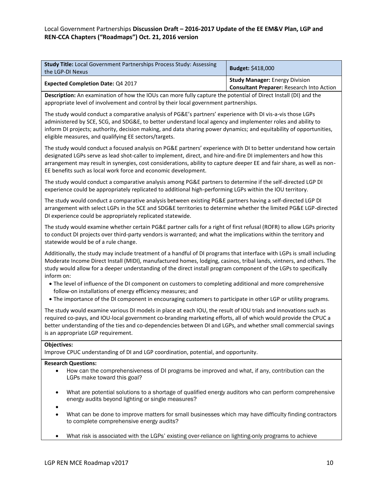| <b>Study Title: Local Government Partnerships Process Study: Assessing</b><br>the LGP-DI Nexus | <b>Budget: \$418,000</b>                                                           |
|------------------------------------------------------------------------------------------------|------------------------------------------------------------------------------------|
| <b>Expected Completion Date: Q4 2017</b>                                                       | <b>Study Manager: Energy Division</b><br>Consultant Preparer: Research Into Action |

**Description:** An examination of how the IOUs can more fully capture the potential of Direct Install (DI) and the appropriate level of involvement and control by their local government partnerships.

The study would conduct a comparative analysis of PG&E's partners' experience with DI vis-a-vis those LGPs administered by SCE, SCG, and SDG&E, to better understand local agency and implementer roles and ability to inform DI projects; authority, decision making, and data sharing power dynamics; and equitability of opportunities, eligible measures, and qualifying EE sectors/targets.

The study would conduct a focused analysis on PG&E partners' experience with DI to better understand how certain designated LGPs serve as lead shot-caller to implement, direct, and hire-and-fire DI implementers and how this arrangement may result in synergies, cost considerations, ability to capture deeper EE and fair share, as well as non-EE benefits such as local work force and economic development.

The study would conduct a comparative analysis among PG&E partners to determine if the self-directed LGP DI experience could be appropriately replicated to additional high-performing LGPs within the IOU territory.

The study would conduct a comparative analysis between existing PG&E partners having a self-directed LGP DI arrangement with select LGPs in the SCE and SDG&E territories to determine whether the limited PG&E LGP-directed DI experience could be appropriately replicated statewide.

The study would examine whether certain PG&E partner calls for a right of first refusal (ROFR) to allow LGPs priority to conduct DI projects over third-party vendors is warranted; and what the implications within the territory and statewide would be of a rule change.

Additionally, the study may include treatment of a handful of DI programs that interface with LGPs is small including Moderate Income Direct Install (MIDI), manufactured homes, lodging, casinos, tribal lands, vintners, and others. The study would allow for a deeper understanding of the direct install program component of the LGPs to specifically inform on:

- The level of influence of the DI component on customers to completing additional and more comprehensive follow-on installations of energy efficiency measures; and
- The importance of the DI component in encouraging customers to participate in other LGP or utility programs.

The study would examine various DI models in place at each IOU, the result of IOU trials and innovations such as required co-pays, and IOU-local government co-branding marketing efforts, all of which would provide the CPUC a better understanding of the ties and co-dependencies between DI and LGPs, and whether small commercial savings is an appropriate LGP requirement.

#### **Objectives:**

Improve CPUC understanding of DI and LGP coordination, potential, and opportunity.

#### **Research Questions:**

- How can the comprehensiveness of DI programs be improved and what, if any, contribution can the LGPs make toward this goal?
- What are potential solutions to a shortage of qualified energy auditors who can perform comprehensive energy audits beyond lighting or single measures?
- $\bullet$
- What can be done to improve matters for small businesses which may have difficulty finding contractors to complete comprehensive energy audits?
- What risk is associated with the LGPs' existing over-reliance on lighting-only programs to achieve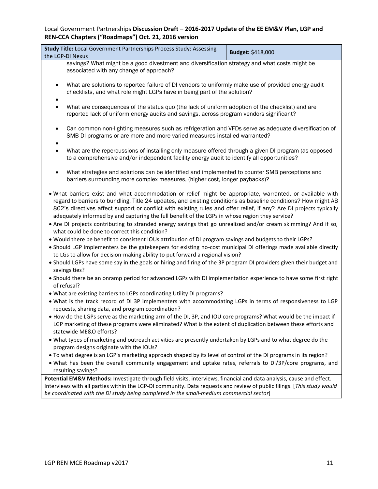| Study Title: Local Government Partnerships Process Study: Assessing<br>the LGP-DI Nexus                                                                                                                                                                                                                                                                                                                                                                                                                                                                                                                                  | Budget: \$418,000                                                                                                                                                                          |  |  |  |  |  |  |  |
|--------------------------------------------------------------------------------------------------------------------------------------------------------------------------------------------------------------------------------------------------------------------------------------------------------------------------------------------------------------------------------------------------------------------------------------------------------------------------------------------------------------------------------------------------------------------------------------------------------------------------|--------------------------------------------------------------------------------------------------------------------------------------------------------------------------------------------|--|--|--|--|--|--|--|
| savings? What might be a good divestment and diversification strategy and what costs might be                                                                                                                                                                                                                                                                                                                                                                                                                                                                                                                            |                                                                                                                                                                                            |  |  |  |  |  |  |  |
| associated with any change of approach?                                                                                                                                                                                                                                                                                                                                                                                                                                                                                                                                                                                  |                                                                                                                                                                                            |  |  |  |  |  |  |  |
| What are solutions to reported failure of DI vendors to uniformly make use of provided energy audit<br>$\bullet$<br>checklists, and what role might LGPs have in being part of the solution?                                                                                                                                                                                                                                                                                                                                                                                                                             |                                                                                                                                                                                            |  |  |  |  |  |  |  |
| ٠<br>$\bullet$                                                                                                                                                                                                                                                                                                                                                                                                                                                                                                                                                                                                           | What are consequences of the status quo (the lack of uniform adoption of the checklist) and are<br>reported lack of uniform energy audits and savings. across program vendors significant? |  |  |  |  |  |  |  |
| $\bullet$<br>٠                                                                                                                                                                                                                                                                                                                                                                                                                                                                                                                                                                                                           | Can common non-lighting measures such as refrigeration and VFDs serve as adequate diversification of<br>SMB DI programs or are more and more varied measures installed warranted?          |  |  |  |  |  |  |  |
| What are the repercussions of installing only measure offered through a given DI program (as opposed<br>$\bullet$<br>to a comprehensive and/or independent facility energy audit to identify all opportunities?                                                                                                                                                                                                                                                                                                                                                                                                          |                                                                                                                                                                                            |  |  |  |  |  |  |  |
| What strategies and solutions can be identified and implemented to counter SMB perceptions and<br>$\bullet$<br>barriers surrounding more complex measures, (higher cost, longer paybacks)?                                                                                                                                                                                                                                                                                                                                                                                                                               |                                                                                                                                                                                            |  |  |  |  |  |  |  |
| . What barriers exist and what accommodation or relief might be appropriate, warranted, or available with<br>regard to barriers to bundling, Title 24 updates, and existing conditions as baseline conditions? How might AB<br>802's directives affect support or conflict with existing rules and offer relief, if any? Are DI projects typically<br>adequately informed by and capturing the full benefit of the LGPs in whose region they service?<br>• Are DI projects contributing to stranded energy savings that go unrealized and/or cream skimming? And if so,<br>what could be done to correct this condition? |                                                                                                                                                                                            |  |  |  |  |  |  |  |
| . Would there be benefit to consistent IOUs attribution of DI program savings and budgets to their LGPs?<br>• Should LGP implementers be the gatekeepers for existing no-cost municipal DI offerings made available directly<br>to LGs to allow for decision-making ability to put forward a regional vision?                                                                                                                                                                                                                                                                                                            |                                                                                                                                                                                            |  |  |  |  |  |  |  |
| . Should LGPs have some say in the goals or hiring and firing of the 3P program DI providers given their budget and<br>savings ties?                                                                                                                                                                                                                                                                                                                                                                                                                                                                                     |                                                                                                                                                                                            |  |  |  |  |  |  |  |
| • Should there be an onramp period for advanced LGPs with DI implementation experience to have some first right<br>of refusal?                                                                                                                                                                                                                                                                                                                                                                                                                                                                                           |                                                                                                                                                                                            |  |  |  |  |  |  |  |
| . What are existing barriers to LGPs coordinating Utility DI programs?                                                                                                                                                                                                                                                                                                                                                                                                                                                                                                                                                   |                                                                                                                                                                                            |  |  |  |  |  |  |  |
| . What is the track record of DI 3P implementers with accommodating LGPs in terms of responsiveness to LGP<br>requests, sharing data, and program coordination?                                                                                                                                                                                                                                                                                                                                                                                                                                                          |                                                                                                                                                                                            |  |  |  |  |  |  |  |
| • How do the LGPs serve as the marketing arm of the DI, 3P, and IOU core programs? What would be the impact if<br>LGP marketing of these programs were eliminated? What is the extent of duplication between these efforts and<br>statewide ME&O efforts?                                                                                                                                                                                                                                                                                                                                                                |                                                                                                                                                                                            |  |  |  |  |  |  |  |
| . What types of marketing and outreach activities are presently undertaken by LGPs and to what degree do the<br>program designs originate with the IOUs?                                                                                                                                                                                                                                                                                                                                                                                                                                                                 |                                                                                                                                                                                            |  |  |  |  |  |  |  |
| • To what degree is an LGP's marketing approach shaped by its level of control of the DI programs in its region?                                                                                                                                                                                                                                                                                                                                                                                                                                                                                                         |                                                                                                                                                                                            |  |  |  |  |  |  |  |
| . What has been the overall community engagement and uptake rates, referrals to DI/3P/core programs, and                                                                                                                                                                                                                                                                                                                                                                                                                                                                                                                 |                                                                                                                                                                                            |  |  |  |  |  |  |  |
| resulting savings?                                                                                                                                                                                                                                                                                                                                                                                                                                                                                                                                                                                                       |                                                                                                                                                                                            |  |  |  |  |  |  |  |
| Potential EM&V Methods: Investigate through field visits, interviews, financial and data analysis, cause and effect.                                                                                                                                                                                                                                                                                                                                                                                                                                                                                                     |                                                                                                                                                                                            |  |  |  |  |  |  |  |
| Interviews with all parties within the LGP-DI community. Data requests and review of public filings. [This study would<br>be coordinated with the DI study being completed in the small-medium commercial sector]                                                                                                                                                                                                                                                                                                                                                                                                        |                                                                                                                                                                                            |  |  |  |  |  |  |  |
|                                                                                                                                                                                                                                                                                                                                                                                                                                                                                                                                                                                                                          |                                                                                                                                                                                            |  |  |  |  |  |  |  |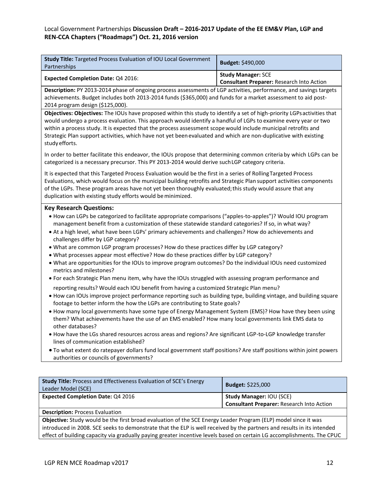| Study Title: Targeted Process Evaluation of IOU Local Government<br>Partnerships                                                                                                                                                                                                                                                                                                                                                                                                                                                                                                                                                                                                                                                                                                                                                                                                                                                                                                                                                                                                                                                                                                                                                                                                                                                                                                                                                                                                                                                                                                                                                                                                                        | Budget: \$490,000                                                             |  |  |  |  |  |  |  |
|---------------------------------------------------------------------------------------------------------------------------------------------------------------------------------------------------------------------------------------------------------------------------------------------------------------------------------------------------------------------------------------------------------------------------------------------------------------------------------------------------------------------------------------------------------------------------------------------------------------------------------------------------------------------------------------------------------------------------------------------------------------------------------------------------------------------------------------------------------------------------------------------------------------------------------------------------------------------------------------------------------------------------------------------------------------------------------------------------------------------------------------------------------------------------------------------------------------------------------------------------------------------------------------------------------------------------------------------------------------------------------------------------------------------------------------------------------------------------------------------------------------------------------------------------------------------------------------------------------------------------------------------------------------------------------------------------------|-------------------------------------------------------------------------------|--|--|--|--|--|--|--|
| <b>Expected Completion Date: Q4 2016:</b>                                                                                                                                                                                                                                                                                                                                                                                                                                                                                                                                                                                                                                                                                                                                                                                                                                                                                                                                                                                                                                                                                                                                                                                                                                                                                                                                                                                                                                                                                                                                                                                                                                                               | <b>Study Manager: SCE</b><br><b>Consultant Preparer: Research Into Action</b> |  |  |  |  |  |  |  |
| Description: PY 2013-2014 phase of ongoing process assessments of LGP activities, performance, and savings targets<br>achievements. Budget includes both 2013-2014 funds (\$365,000) and funds for a market assessment to aid post-<br>2014 program design (\$125,000).                                                                                                                                                                                                                                                                                                                                                                                                                                                                                                                                                                                                                                                                                                                                                                                                                                                                                                                                                                                                                                                                                                                                                                                                                                                                                                                                                                                                                                 |                                                                               |  |  |  |  |  |  |  |
| Objectives: Objectives: The IOUs have proposed within this study to identify a set of high-priority LGPs activities that<br>would undergo a process evaluation. This approach would identify a handful of LGPs to examine every year or two<br>within a process study. It is expected that the process assessment scope would include municipal retrofits and<br>Strategic Plan support activities, which have not yet been evaluated and which are non-duplicative with existing<br>study efforts.                                                                                                                                                                                                                                                                                                                                                                                                                                                                                                                                                                                                                                                                                                                                                                                                                                                                                                                                                                                                                                                                                                                                                                                                     |                                                                               |  |  |  |  |  |  |  |
| In order to better facilitate this endeavor, the IOUs propose that determining common criteria by which LGPs can be<br>categorized is a necessary precursor. This PY 2013-2014 would derive such LGP category criteria.                                                                                                                                                                                                                                                                                                                                                                                                                                                                                                                                                                                                                                                                                                                                                                                                                                                                                                                                                                                                                                                                                                                                                                                                                                                                                                                                                                                                                                                                                 |                                                                               |  |  |  |  |  |  |  |
| It is expected that this Targeted Process Evaluation would be the first in a series of Rolling Targeted Process<br>Evaluations, which would focus on the municipal building retrofits and Strategic Plan support activities components<br>of the LGPs. These program areas have not yet been thoroughly evaluated; this study would assure that any<br>duplication with existing study efforts would be minimized.                                                                                                                                                                                                                                                                                                                                                                                                                                                                                                                                                                                                                                                                                                                                                                                                                                                                                                                                                                                                                                                                                                                                                                                                                                                                                      |                                                                               |  |  |  |  |  |  |  |
| <b>Key Research Questions:</b><br>• How can LGPs be categorized to facilitate appropriate comparisons ("apples-to-apples")? Would IOU program<br>management benefit from a customization of these statewide standard categories? If so, in what way?<br>• At a high level, what have been LGPs' primary achievements and challenges? How do achievements and<br>challenges differ by LGP category?<br>. What are common LGP program processes? How do these practices differ by LGP category?<br>. What processes appear most effective? How do these practices differ by LGP category?<br>. What are opportunities for the IOUs to improve program outcomes? Do the individual IOUs need customized<br>metrics and milestones?<br>• For each Strategic Plan menu item, why have the IOUs struggled with assessing program performance and<br>reporting results? Would each IOU benefit from having a customized Strategic Plan menu?<br>• How can IOUs improve project performance reporting such as building type, building vintage, and building square<br>footage to better inform the how the LGPs are contributing to State goals?<br>• How many local governments have some type of Energy Management System (EMS)? How have they been using<br>them? What achievements have the use of an EMS enabled? How many local governments link EMS data to<br>other databases?<br>. How have the LGs shared resources across areas and regions? Are significant LGP-to-LGP knowledge transfer<br>lines of communication established?<br>• To what extent do ratepayer dollars fund local government staff positions? Are staff positions within joint powers<br>authorities or councils of governments? |                                                                               |  |  |  |  |  |  |  |
| Study Title: Process and Effectiveness Evaluation of SCE's Energy<br>Leader Model (SCE)                                                                                                                                                                                                                                                                                                                                                                                                                                                                                                                                                                                                                                                                                                                                                                                                                                                                                                                                                                                                                                                                                                                                                                                                                                                                                                                                                                                                                                                                                                                                                                                                                 | Budget: \$225,000                                                             |  |  |  |  |  |  |  |

**Description:** Process Evaluation

**Objective:** Study would be the first broad evaluation of the SCE Energy Leader Program (ELP) model since it was introduced in 2008. SCE seeks to demonstrate that the ELP is well received by the partners and results in its intended effect of building capacity via gradually paying greater incentive levels based on certain LG accomplishments. The CPUC

**Expected Completion Date:** Q4 2016 **Study Manager:** IOU (SCE)

**Consultant Preparer:** Research Into Action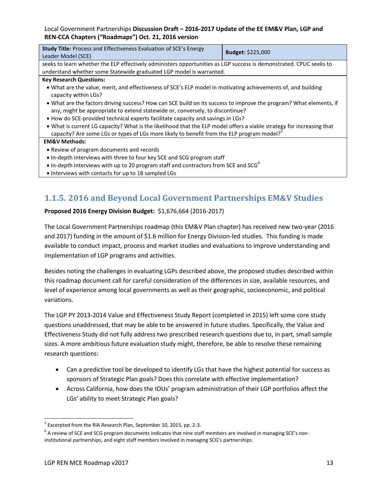| <b>Study Title:</b> Process and Effectiveness Evaluation of SCE's Energy<br>Leader Model (SCE)                                                                                                                                  | <b>Budget: \$225,000</b> |  |  |  |  |  |  |  |
|---------------------------------------------------------------------------------------------------------------------------------------------------------------------------------------------------------------------------------|--------------------------|--|--|--|--|--|--|--|
| seeks to learn whether the ELP effectively administers opportunities as LGP success is demonstrated. CPUC seeks to<br>understand whether some Statewide graduated LGP model is warranted.                                       |                          |  |  |  |  |  |  |  |
| <b>Key Research Questions:</b>                                                                                                                                                                                                  |                          |  |  |  |  |  |  |  |
| • What are the value, merit, and effectiveness of SCE's ELP model in motivating achievements of, and building<br>capacity within LGs?                                                                                           |                          |  |  |  |  |  |  |  |
| . What are the factors driving success? How can SCE build on its success to improve the program? What elements, if<br>any, might be appropriate to extend statewide or, conversely, to discontinue?                             |                          |  |  |  |  |  |  |  |
| • How do SCE-provided technical experts facilitate capacity and savings in LGs?                                                                                                                                                 |                          |  |  |  |  |  |  |  |
| • What is current LG capacity? What is the likelihood that the ELP model offers a viable strategy for increasing that<br>capacity? Are some LGs or types of LGs more likely to benefit from the ELP program model? <sup>5</sup> |                          |  |  |  |  |  |  |  |
| <b>EM&amp;V Methods:</b>                                                                                                                                                                                                        |                          |  |  |  |  |  |  |  |
| • Review of program documents and records                                                                                                                                                                                       |                          |  |  |  |  |  |  |  |
| • In-depth interviews with three to four key SCE and SCG program staff                                                                                                                                                          |                          |  |  |  |  |  |  |  |
| • In-depth interviews with up to 20 program staff and contractors from SCE and SCG <sup>6</sup>                                                                                                                                 |                          |  |  |  |  |  |  |  |
| • Interviews with contacts for up to 18 sampled LGs                                                                                                                                                                             |                          |  |  |  |  |  |  |  |
|                                                                                                                                                                                                                                 |                          |  |  |  |  |  |  |  |

# **1.1.5. 2016 and Beyond Local Government Partnerships EM&V Studies**

### **Proposed 2016 Energy Division Budget:** \$1,676,664 (2016-2017)

The Local Government Partnerships roadmap (this EM&V Plan chapter) has received new two-year (2016 and 2017) funding in the amount of \$1.6 million for Energy Division-led studies. This funding is made available to conduct impact, process and market studies and evaluations to improve understanding and implementation of LGP programs and activities.

Besides noting the challenges in evaluating LGPs described above, the proposed studies described within this roadmap document call for careful consideration of the differences in size, available resources, and level of experience among local governments as well as their geographic, socioeconomic, and political variations.

The LGP PY 2013-2014 Value and Effectiveness Study Report (completed in 2015) left some core study questions unaddressed, that may be able to be answered in future studies. Specifically, the Value and Effectiveness Study did not fully address two prescribed research questions due to, in part, small sample sizes. A more ambitious future evaluation study might, therefore, be able to resolve these remaining research questions:

- Can a predictive tool be developed to identify LGs that have the highest potential for success as sponsors of Strategic Plan goals? Does this correlate with effective implementation?
- Across California, how does the IOUs' program administration of their LGP portfolios affect the LGs' ability to meet Strategic Plan goals?

 $\overline{\phantom{a}}$ <sup>5</sup> Excerpted from the RIA Research Plan, September 10, 2015, pp. 2-3.

 $^6$  A review of SCE and SCG program documents indicates that nine staff members are involved in managing SCE's noninstitutional partnerships, and eight staff members involved in managing SCG's partnerships.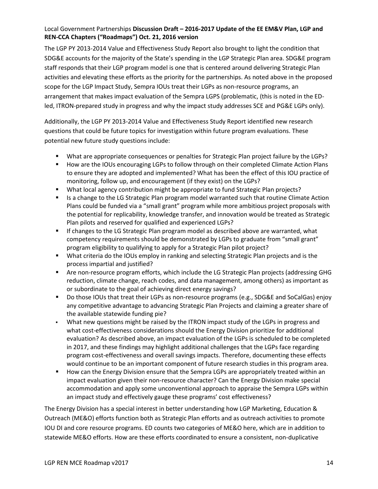The LGP PY 2013-2014 Value and Effectiveness Study Report also brought to light the condition that SDG&E accounts for the majority of the State's spending in the LGP Strategic Plan area. SDG&E program staff responds that their LGP program model is one that is centered around delivering Strategic Plan activities and elevating these efforts as the priority for the partnerships. As noted above in the proposed scope for the LGP Impact Study, Sempra IOUs treat their LGPs as non-resource programs, an arrangement that makes impact evaluation of the Sempra LGPS (problematic, (this is noted in the EDled, ITRON-prepared study in progress and why the impact study addresses SCE and PG&E LGPs only).

Additionally, the LGP PY 2013-2014 Value and Effectiveness Study Report identified new research questions that could be future topics for investigation within future program evaluations. These potential new future study questions include:

- What are appropriate consequences or penalties for Strategic Plan project failure by the LGPs?
- **How are the IOUs encouraging LGPs to follow through on their completed Climate Action Plans** to ensure they are adopted and implemented? What has been the effect of this IOU practice of monitoring, follow up, and encouragement (if they exist) on the LGPs?
- What local agency contribution might be appropriate to fund Strategic Plan projects?
- **IS a change to the LG Strategic Plan program model warranted such that routine Climate Action** Plans could be funded via a "small grant" program while more ambitious project proposals with the potential for replicability, knowledge transfer, and innovation would be treated as Strategic Plan pilots and reserved for qualified and experienced LGPs?
- **If changes to the LG Strategic Plan program model as described above are warranted, what** competency requirements should be demonstrated by LGPs to graduate from "small grant" program eligibility to qualifying to apply for a Strategic Plan pilot project?
- What criteria do the IOUs employ in ranking and selecting Strategic Plan projects and is the process impartial and justified?
- Are non-resource program efforts, which include the LG Strategic Plan projects (addressing GHG reduction, climate change, reach codes, and data management, among others) as important as or subordinate to the goal of achieving direct energy savings?
- Do those IOUs that treat their LGPs as non-resource programs (e.g., SDG&E and SoCalGas) enjoy any competitive advantage to advancing Strategic Plan Projects and claiming a greater share of the available statewide funding pie?
- What new questions might be raised by the ITRON impact study of the LGPs in progress and what cost-effectiveness considerations should the Energy Division prioritize for additional evaluation? As described above, an impact evaluation of the LGPs is scheduled to be completed in 2017, and these findings may highlight additional challenges that the LGPs face regarding program cost-effectiveness and overall savings impacts. Therefore, documenting these effects would continue to be an important component of future research studies in this program area.
- How can the Energy Division ensure that the Sempra LGPs are appropriately treated within an impact evaluation given their non-resource character? Can the Energy Division make special accommodation and apply some unconventional approach to appraise the Sempra LGPs within an impact study and effectively gauge these programs' cost effectiveness?

The Energy Division has a special interest in better understanding how LGP Marketing, Education & Outreach (ME&O) efforts function both as Strategic Plan efforts and as outreach activities to promote IOU DI and core resource programs. ED counts two categories of ME&O here, which are in addition to statewide ME&O efforts. How are these efforts coordinated to ensure a consistent, non-duplicative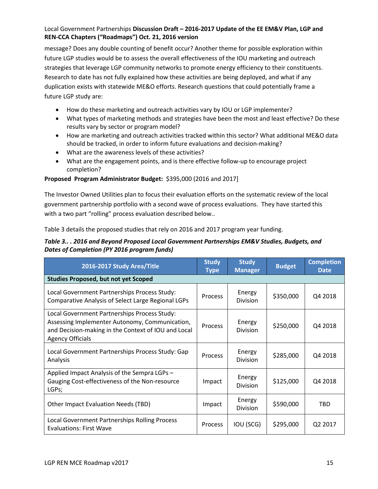message? Does any double counting of benefit occur? Another theme for possible exploration within future LGP studies would be to assess the overall effectiveness of the IOU marketing and outreach strategies that leverage LGP community networks to promote energy efficiency to their constituents. Research to date has not fully explained how these activities are being deployed, and what if any duplication exists with statewide ME&O efforts. Research questions that could potentially frame a future LGP study are:

- How do these marketing and outreach activities vary by IOU or LGP implementer?
- What types of marketing methods and strategies have been the most and least effective? Do these results vary by sector or program model?
- How are marketing and outreach activities tracked within this sector? What additional ME&O data should be tracked, in order to inform future evaluations and decision-making?
- What are the awareness levels of these activities?
- What are the engagement points, and is there effective follow-up to encourage project completion?

### **Proposed Program Administrator Budget:** \$395,000 (2016 and 2017]

The Investor Owned Utilities plan to focus their evaluation efforts on the systematic review of the local government partnership portfolio with a second wave of process evaluations. They have started this with a two part "rolling" process evaluation described below..

[Table 3](#page-14-0) details the proposed studies that rely on 2016 and 2017 program year funding.

#### <span id="page-14-0"></span>*Table 3.. . 2016 and Beyond Proposed Local Government Partnerships EM&V Studies, Budgets, and Dates of Completion (PY 2016 program funds)*

| 2016-2017 Study Area/Title                                                                                                                                                       |                | <b>Study</b><br><b>Manager</b> | <b>Budget</b> | <b>Completion</b><br><b>Date</b> |
|----------------------------------------------------------------------------------------------------------------------------------------------------------------------------------|----------------|--------------------------------|---------------|----------------------------------|
| <b>Studies Proposed, but not yet Scoped</b>                                                                                                                                      |                |                                |               |                                  |
| Local Government Partnerships Process Study:<br><b>Comparative Analysis of Select Large Regional LGPs</b>                                                                        | <b>Process</b> | Energy<br>Division             | \$350,000     | Q4 2018                          |
| Local Government Partnerships Process Study:<br>Assessing Implementer Autonomy, Communication,<br>and Decision-making in the Context of IOU and Local<br><b>Agency Officials</b> | <b>Process</b> | Energy<br><b>Division</b>      | \$250,000     | Q4 2018                          |
| Local Government Partnerships Process Study: Gap<br>Analysis                                                                                                                     | <b>Process</b> | Energy<br><b>Division</b>      | \$285,000     | Q4 2018                          |
| Applied Impact Analysis of the Sempra LGPs -<br>Gauging Cost-effectiveness of the Non-resource<br>LGPs;                                                                          | Impact         | Energy<br><b>Division</b>      | \$125,000     | Q4 2018                          |
| Other Impact Evaluation Needs (TBD)                                                                                                                                              | Impact         | Energy<br><b>Division</b>      | \$590,000     | <b>TBD</b>                       |
| <b>Local Government Partnerships Rolling Process</b><br><b>Evaluations: First Wave</b>                                                                                           | Process        | IOU (SCG)                      | \$295,000     | Q2 2017                          |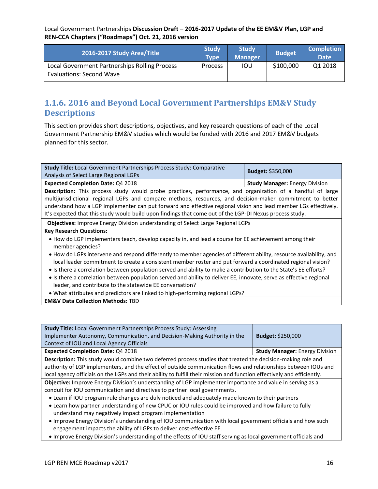| 2016-2017 Study Area/Title                                                       | <b>Study</b><br>Tvpe | <b>Study</b><br><b>Manager</b> | <b>Budget</b> | <b>Completion</b><br><b>Date</b> |
|----------------------------------------------------------------------------------|----------------------|--------------------------------|---------------|----------------------------------|
| Local Government Partnerships Rolling Process<br><b>Evaluations: Second Wave</b> | Process              | IOU                            | \$100,000     | Q1 2018                          |

### **1.1.6. 2016 and Beyond Local Government Partnerships EM&V Study Descriptions**

This section provides short descriptions, objectives, and key research questions of each of the Local Government Partnership EM&V studies which would be funded with 2016 and 2017 EM&V budgets planned for this sector.

| <b>Study Title:</b> Local Government Partnerships Process Study: Comparative<br>Analysis of Select Large Regional LGPs                                                                                                                                                                                                                                                                                                                                                                                                                    | <b>Budget: \$350,000</b>              |  |  |  |  |
|-------------------------------------------------------------------------------------------------------------------------------------------------------------------------------------------------------------------------------------------------------------------------------------------------------------------------------------------------------------------------------------------------------------------------------------------------------------------------------------------------------------------------------------------|---------------------------------------|--|--|--|--|
| Expected Completion Date: Q4 2018                                                                                                                                                                                                                                                                                                                                                                                                                                                                                                         | <b>Study Manager: Energy Division</b> |  |  |  |  |
| Description: This process study would probe practices, performance, and organization of a handful of large<br>multijurisdictional regional LGPs and compare methods, resources, and decision-maker commitment to better<br>understand how a LGP implementer can put forward and effective regional vision and lead member LGs effectively.<br>It's expected that this study would build upon findings that come out of the LGP-DI Nexus process study.                                                                                    |                                       |  |  |  |  |
| Objectives: Improve Energy Division understanding of Select Large Regional LGPs                                                                                                                                                                                                                                                                                                                                                                                                                                                           |                                       |  |  |  |  |
| <b>Key Research Questions:</b>                                                                                                                                                                                                                                                                                                                                                                                                                                                                                                            |                                       |  |  |  |  |
| • How do LGP implementers teach, develop capacity in, and lead a course for EE achievement among their<br>member agencies?                                                                                                                                                                                                                                                                                                                                                                                                                |                                       |  |  |  |  |
| • How do LGPs intervene and respond differently to member agencies of different ability, resource availability, and<br>local leader commitment to create a consistent member roster and put forward a coordinated regional vision?<br>• Is there a correlation between population served and ability to make a contribution to the State's EE efforts?<br>• Is there a correlation between population served and ability to deliver EE, innovate, serve as effective regional<br>leader, and contribute to the statewide EE conversation? |                                       |  |  |  |  |
| . What attributes and predictors are linked to high-performing regional LGPs?                                                                                                                                                                                                                                                                                                                                                                                                                                                             |                                       |  |  |  |  |

**EM&V Data Collection Methods:** TBD

| <b>Study Title:</b> Local Government Partnerships Process Study: Assessing<br>Implementer Autonomy, Communication, and Decision-Making Authority in the                             | <b>Budget: \$250,000</b>              |
|-------------------------------------------------------------------------------------------------------------------------------------------------------------------------------------|---------------------------------------|
| Context of IOU and Local Agency Officials                                                                                                                                           |                                       |
| <b>Expected Completion Date: Q4 2018</b>                                                                                                                                            | <b>Study Manager: Energy Division</b> |
| Description: This study would combine two deferred process studies that treated the decision-making role and                                                                        |                                       |
| authority of LGP implementers, and the effect of outside communication flows and relationships between IOUs and                                                                     |                                       |
| local agency officials on the LGPs and their ability to fulfill their mission and function effectively and efficiently.                                                             |                                       |
| Objective: Improve Energy Division's understanding of LGP implementer importance and value in serving as a                                                                          |                                       |
| conduit for IOU communication and directives to partner local governments.                                                                                                          |                                       |
| • Learn if IOU program rule changes are duly noticed and adequately made known to their partners                                                                                    |                                       |
| • Learn how partner understanding of new CPUC or IOU rules could be improved and how failure to fully<br>understand may negatively impact program implementation                    |                                       |
| . Improve Energy Division's understanding of IOU communication with local government officials and how such<br>engagement impacts the ability of LGPs to deliver cost-effective EE. |                                       |

Improve Energy Division's understanding of the effects of IOU staff serving as local government officials and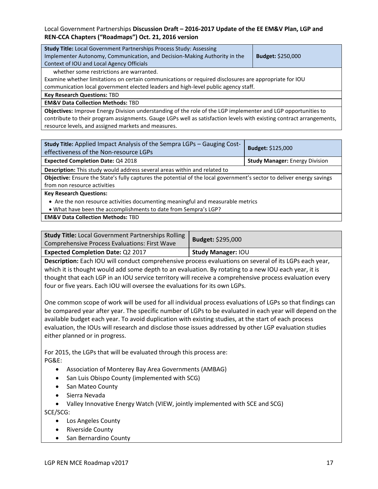| <b>Study Title: Local Government Partnerships Process Study: Assessing</b><br>Implementer Autonomy, Communication, and Decision-Making Authority in the<br><b>Budget: \$250,000</b><br>Context of IOU and Local Agency Officials |  |  |  |  |
|----------------------------------------------------------------------------------------------------------------------------------------------------------------------------------------------------------------------------------|--|--|--|--|
| whether some restrictions are warranted.                                                                                                                                                                                         |  |  |  |  |
| Examine whether limitations on certain communications or required disclosures are appropriate for IOU                                                                                                                            |  |  |  |  |
| communication local government elected leaders and high-level public agency staff.                                                                                                                                               |  |  |  |  |
| <b>Key Research Questions: TBD</b>                                                                                                                                                                                               |  |  |  |  |
| <b>EM&amp;V Data Collection Methods: TBD</b>                                                                                                                                                                                     |  |  |  |  |
| Objectives: Improve Energy Division understanding of the role of the LGP implementer and LGP opportunities to                                                                                                                    |  |  |  |  |
| contribute to their program assignments. Gauge LGPs well as satisfaction levels with existing contract arrangements,                                                                                                             |  |  |  |  |
| resource levels, and assigned markets and measures.                                                                                                                                                                              |  |  |  |  |

| Study Title: Applied Impact Analysis of the Sempra LGPs - Gauging Cost-<br><b>Budget: \$125,000</b><br>effectiveness of the Non-resource LGPs |  |  |  |  |  |
|-----------------------------------------------------------------------------------------------------------------------------------------------|--|--|--|--|--|
| <b>Expected Completion Date: Q4 2018</b><br><b>Study Manager: Energy Division</b>                                                             |  |  |  |  |  |
| Description: This study would address several areas within and related to                                                                     |  |  |  |  |  |
| Objective: Ensure the State's fully captures the potential of the local government's sector to deliver energy savings                         |  |  |  |  |  |
| from non resource activities                                                                                                                  |  |  |  |  |  |
| <b>Key Research Questions:</b>                                                                                                                |  |  |  |  |  |
| • Are the non resource activities documenting meaningful and measurable metrics                                                               |  |  |  |  |  |
| . What have been the accomplishments to date from Sempra's LGP?                                                                               |  |  |  |  |  |
| <b>EM&amp;V Data Collection Methods: TBD</b>                                                                                                  |  |  |  |  |  |

| <b>Study Title: Local Government Partnerships Rolling</b><br><b>Comprehensive Process Evaluations: First Wave</b> | Budget: \$295,000         |
|-------------------------------------------------------------------------------------------------------------------|---------------------------|
| <b>Expected Completion Date: Q2 2017</b>                                                                          | <b>Study Manager: IOU</b> |

**Description:** Each IOU will conduct comprehensive process evaluations on several of its LGPs each year, which it is thought would add some depth to an evaluation. By rotating to a new IOU each year, it is thought that each LGP in an IOU service territory will receive a comprehensive process evaluation every four or five years. Each IOU will oversee the evaluations for its own LGPs.

One common scope of work will be used for all individual process evaluations of LGPs so that findings can be compared year after year. The specific number of LGPs to be evaluated in each year will depend on the available budget each year. To avoid duplication with existing studies, at the start of each process evaluation, the IOUs will research and disclose those issues addressed by other LGP evaluation studies either planned or in progress.

For 2015, the LGPs that will be evaluated through this process are: PG&E:

- Association of Monterey Bay Area Governments (AMBAG)
- San Luis Obispo County (implemented with SCG)
- San Mateo County
- Sierra Nevada
- Valley Innovative Energy Watch (VIEW, jointly implemented with SCE and SCG) SCE/SCG:
	- Los Angeles County
	- Riverside County
	- San Bernardino County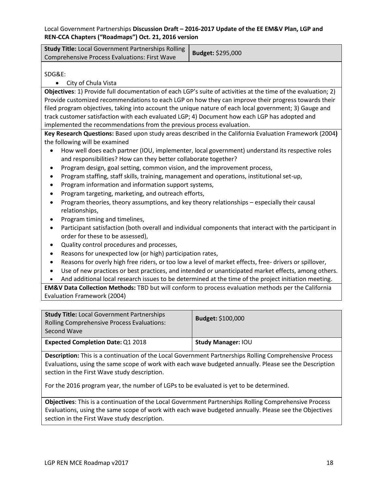| <b>Study Title:</b> Local Government Partnerships Rolling | Budget: \$295,000 |
|-----------------------------------------------------------|-------------------|
| Comprehensive Process Evaluations: First Wave             |                   |

SDG&E:

• City of Chula Vista

**Objectives**: 1) Provide full documentation of each LGP's suite of activities at the time of the evaluation; 2) Provide customized recommendations to each LGP on how they can improve their progress towards their filed program objectives, taking into account the unique nature of each local government; 3) Gauge and track customer satisfaction with each evaluated LGP; 4) Document how each LGP has adopted and implemented the recommendations from the previous process evaluation.

**Key Research Questions:** Based upon study areas described in the California Evaluation Framework (2004**)**  the following will be examined

- How well does each partner (IOU, implementer, local government) understand its respective roles and responsibilities? How can they better collaborate together?
- Program design, goal setting, common vision, and the improvement process,
- Program staffing, staff skills, training, management and operations, institutional set-up,
- Program information and information support systems,
- Program targeting, marketing, and outreach efforts,
- Program theories, theory assumptions, and key theory relationships especially their causal relationships,
- Program timing and timelines,
- Participant satisfaction (both overall and individual components that interact with the participant in order for these to be assessed),
- Quality control procedures and processes,
- Reasons for unexpected low (or high) participation rates,
- Reasons for overly high free riders, or too low a level of market effects, free- drivers or spillover,
- Use of new practices or best practices, and intended or unanticipated market effects, among others.
- And additional local research issues to be determined at the time of the project initiation meeting.

**EM&V Data Collection Methods:** TBD but will conform to process evaluation methods per the California Evaluation Framework (2004)

| <b>Study Title: Local Government Partnerships</b><br>Rolling Comprehensive Process Evaluations:<br>Second Wave | <b>Budget: \$100,000</b>  |
|----------------------------------------------------------------------------------------------------------------|---------------------------|
| <b>Expected Completion Date: Q1 2018</b>                                                                       | <b>Study Manager: IOU</b> |

**Description:** This is a continuation of the Local Government Partnerships Rolling Comprehensive Process Evaluations, using the same scope of work with each wave budgeted annually. Please see the Description section in the First Wave study description.

For the 2016 program year, the number of LGPs to be evaluated is yet to be determined.

**Objectives**: This is a continuation of the Local Government Partnerships Rolling Comprehensive Process Evaluations, using the same scope of work with each wave budgeted annually. Please see the Objectives section in the First Wave study description.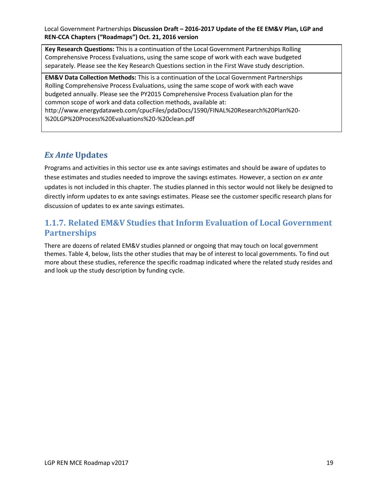**Key Research Questions:** This is a continuation of the Local Government Partnerships Rolling Comprehensive Process Evaluations, using the same scope of work with each wave budgeted separately. Please see the Key Research Questions section in the First Wave study description.

**EM&V Data Collection Methods:** This is a continuation of the Local Government Partnerships Rolling Comprehensive Process Evaluations, using the same scope of work with each wave budgeted annually. Please see the PY2015 Comprehensive Process Evaluation plan for the common scope of work and data collection methods, available at:

http://www.energydataweb.com/cpucFiles/pdaDocs/1590/FINAL%20Research%20Plan%20- %20LGP%20Process%20Evaluations%20-%20clean.pdf

### *Ex Ante* **Updates**

Programs and activities in this sector use ex ante savings estimates and should be aware of updates to these estimates and studies needed to improve the savings estimates. However, a section on *ex ante* updates is not included in this chapter. The studies planned in this sector would not likely be designed to directly inform updates to ex ante savings estimates. Please see the customer specific research plans for discussion of updates to ex ante savings estimates.

### **1.1.7. Related EM&V Studies that Inform Evaluation of Local Government Partnerships**

There are dozens of related EM&V studies planned or ongoing that may touch on local government themes. Table 4, below, lists the other studies that may be of interest to local governments. To find out more about these studies, reference the specific roadmap indicated where the related study resides and and look up the study description by funding cycle.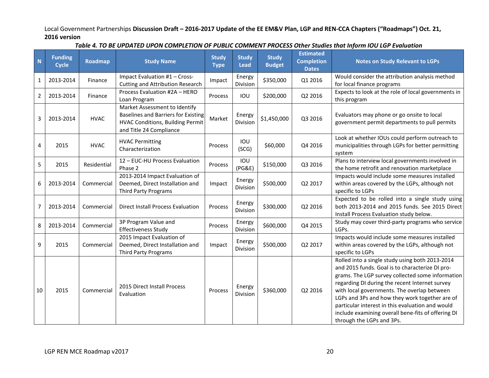| $\blacksquare$ | <b>Funding</b><br>Cycle | <b>Roadmap</b> | <b>Study Name</b>                                                                                                                          | <b>Study</b><br><b>Type</b> | <b>Study</b><br><b>Lead</b> | <b>Study</b><br><b>Budget</b> | <b>Estimated</b><br><b>Completion</b><br><b>Dates</b> | <b>Notes on Study Relevant to LGPs</b>                                                                                                                                                                                                                                                                                                                                                                                                           |
|----------------|-------------------------|----------------|--------------------------------------------------------------------------------------------------------------------------------------------|-----------------------------|-----------------------------|-------------------------------|-------------------------------------------------------|--------------------------------------------------------------------------------------------------------------------------------------------------------------------------------------------------------------------------------------------------------------------------------------------------------------------------------------------------------------------------------------------------------------------------------------------------|
| 1              | 2013-2014               | Finance        | Impact Evaluation #1 - Cross-<br><b>Cutting and Attribution Research</b>                                                                   | Impact                      | Energy<br>Division          | \$350,000                     | Q1 2016                                               | Would consider the attribution analysis method<br>for local finance programs                                                                                                                                                                                                                                                                                                                                                                     |
| 2              | 2013-2014               | Finance        | Process Evaluation #2A - HERO<br>Loan Program                                                                                              | Process                     | IOU                         | \$200,000                     | Q2 2016                                               | Expects to look at the role of local governments in<br>this program                                                                                                                                                                                                                                                                                                                                                                              |
| 3              | 2013-2014               | <b>HVAC</b>    | Market Assessment to Identify<br>Baselines and Barriers for Existing<br><b>HVAC Conditions, Building Permit</b><br>and Title 24 Compliance | Market                      | Energy<br>Division          | \$1,450,000                   | Q3 2016                                               | Evaluators may phone or go onsite to local<br>government permit departments to pull permits                                                                                                                                                                                                                                                                                                                                                      |
| 4              | 2015                    | <b>HVAC</b>    | <b>HVAC Permitting</b><br>Characterization                                                                                                 | Process                     | IOU<br>(SCG)                | \$60,000                      | Q4 2016                                               | Look at whether IOUs could perform outreach to<br>municipalities through LGPs for better permitting<br>system                                                                                                                                                                                                                                                                                                                                    |
| 5              | 2015                    | Residential    | 12 - EUC-HU Process Evaluation<br>Phase 2                                                                                                  | Process                     | IOU<br>(PG&E)               | \$150,000                     | Q3 2016                                               | Plans to interview local governments involved in<br>the home retrofit and renovation marketplace                                                                                                                                                                                                                                                                                                                                                 |
| 6              | 2013-2014               | Commercial     | 2013-2014 Impact Evaluation of<br>Deemed, Direct Installation and<br><b>Third Party Programs</b>                                           | Impact                      | Energy<br>Division          | \$500,000                     | Q2 2017                                               | Impacts would include some measures installed<br>within areas covered by the LGPs, although not<br>specific to LGPs                                                                                                                                                                                                                                                                                                                              |
| 7              | 2013-2014               | Commercial     | <b>Direct Install Process Evaluation</b>                                                                                                   | Process                     | Energy<br><b>Division</b>   | \$300,000                     | Q2 2016                                               | Expected to be rolled into a single study using<br>both 2013-2014 and 2015 funds. See 2015 Direct<br>Install Process Evaluation study below.                                                                                                                                                                                                                                                                                                     |
| 8              | 2013-2014               | Commercial     | 3P Program Value and<br><b>Effectiveness Study</b>                                                                                         | Process                     | Energy<br>Division          | \$600,000                     | Q4 2015                                               | Study may cover third-party programs who service<br>LGPs.                                                                                                                                                                                                                                                                                                                                                                                        |
| 9              | 2015                    | Commercial     | 2015 Impact Evaluation of<br>Deemed, Direct Installation and<br><b>Third Party Programs</b>                                                | Impact                      | Energy<br>Division          | \$500,000                     | Q2 2017                                               | Impacts would include some measures installed<br>within areas covered by the LGPs, although not<br>specific to LGPs                                                                                                                                                                                                                                                                                                                              |
| 10             | 2015                    | Commercial     | 2015 Direct Install Process<br>Evaluation                                                                                                  | Process                     | Energy<br><b>Division</b>   | \$360,000                     | Q2 2016                                               | Rolled into a single study using both 2013-2014<br>and 2015 funds. Goal is to characterize DI pro-<br>grams. The LGP survey collected some information<br>regarding DI during the recent Internet survey<br>with local governments. The overlap between<br>LGPs and 3Ps and how they work together are of<br>particular interest in this evaluation and would<br>include examining overall bene-fits of offering DI<br>through the LGPs and 3Ps. |

#### *Table 4. TO BE UPDATED UPON COMPLETION OF PUBLIC COMMENT PROCESS Other Studies that Inform IOU LGP Evaluation*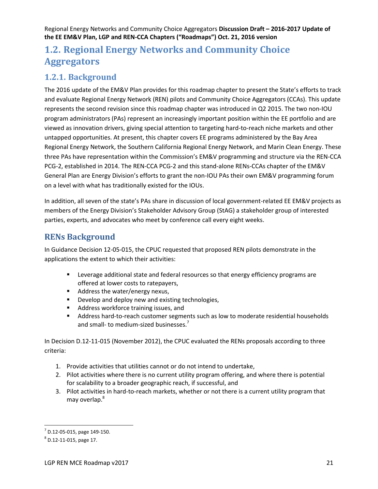# **1.2. Regional Energy Networks and Community Choice Aggregators**

### **1.2.1. Background**

The 2016 update of the EM&V Plan provides for this roadmap chapter to present the State's efforts to track and evaluate Regional Energy Network (REN) pilots and Community Choice Aggregators (CCAs). This update represents the second revision since this roadmap chapter was introduced in Q2 2015. The two non-IOU program administrators (PAs) represent an increasingly important position within the EE portfolio and are viewed as innovation drivers, giving special attention to targeting hard-to-reach niche markets and other untapped opportunities. At present, this chapter covers EE programs administered by the Bay Area Regional Energy Network, the Southern California Regional Energy Network, and Marin Clean Energy. These three PAs have representation within the Commission's EM&V programming and structure via the REN-CCA PCG-2, established in 2014. The REN-CCA PCG-2 and this stand-alone RENs-CCAs chapter of the EM&V General Plan are Energy Division's efforts to grant the non-IOU PAs their own EM&V programming forum on a level with what has traditionally existed for the IOUs.

In addition, all seven of the state's PAs share in discussion of local government-related EE EM&V projects as members of the Energy Division's Stakeholder Advisory Group (StAG) a stakeholder group of interested parties, experts, and advocates who meet by conference call every eight weeks.

### **RENs Background**

In Guidance Decision 12-05-015, the CPUC requested that proposed REN pilots demonstrate in the applications the extent to which their activities:

- **EXECT** Leverage additional state and federal resources so that energy efficiency programs are offered at lower costs to ratepayers,
- Address the water/energy nexus,
- **Develop and deploy new and existing technologies,**
- **Address workforce training issues, and**
- Address hard-to-reach customer segments such as low to moderate residential households and small- to medium-sized businesses.<sup>7</sup>

In Decision D.12-11-015 (November 2012), the CPUC evaluated the RENs proposals according to three criteria:

- 1. Provide activities that utilities cannot or do not intend to undertake,
- 2. Pilot activities where there is no current utility program offering, and where there is potential for scalability to a broader geographic reach, if successful, and
- 3. Pilot activities in hard-to-reach markets, whether or not there is a current utility program that may overlap.<sup>8</sup>

 $\overline{a}$ 

<sup>7</sup> D.12-05-015, page 149-150.

<sup>8</sup> D.12-11-015, page 17.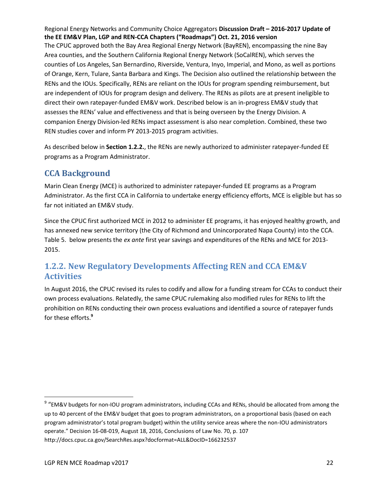The CPUC approved both the Bay Area Regional Energy Network (BayREN), encompassing the nine Bay Area counties, and the Southern California Regional Energy Network (SoCalREN), which serves the counties of Los Angeles, San Bernardino, Riverside, Ventura, Inyo, Imperial, and Mono, as well as portions of Orange, Kern, Tulare, Santa Barbara and Kings. The Decision also outlined the relationship between the RENs and the IOUs. Specifically, RENs are reliant on the IOUs for program spending reimbursement, but are independent of IOUs for program design and delivery. The RENs as pilots are at present ineligible to direct their own ratepayer-funded EM&V work. Described below is an in-progress EM&V study that assesses the RENs' value and effectiveness and that is being overseen by the Energy Division. A companion Energy Division-led RENs impact assessment is also near completion. Combined, these two REN studies cover and inform PY 2013-2015 program activities.

As described below in **Section 1.2.2.**, the RENs are newly authorized to administer ratepayer-funded EE programs as a Program Administrator.

### **CCA Background**

Marin Clean Energy (MCE) is authorized to administer ratepayer-funded EE programs as a Program Administrator. As the first CCA in California to undertake energy efficiency efforts, MCE is eligible but has so far not initiated an EM&V study.

Since the CPUC first authorized MCE in 2012 to administer EE programs, it has enjoyed healthy growth, and has annexed new service territory (the City of Richmond and Unincorporated Napa County) into the CCA. [Table 5.](#page-22-0) below presents the *ex ante* first year savings and expenditures of the RENs and MCE for 2013- 2015.

### **1.2.2. New Regulatory Developments Affecting REN and CCA EM&V Activities**

In August 2016, the CPUC revised its rules to codify and allow for a funding stream for CCAs to conduct their own process evaluations. Relatedly, the same CPUC rulemaking also modified rules for RENs to lift the prohibition on RENs conducting their own process evaluations and identified a source of ratepayer funds for these efforts.**<sup>9</sup>**

l

<sup>&</sup>lt;sup>9</sup> "EM&V budgets for non-IOU program administrators, including CCAs and RENs, should be allocated from among the up to 40 percent of the EM&V budget that goes to program administrators, on a proportional basis (based on each program administrator's total program budget) within the utility service areas where the non-IOU administrators operate." Decision 16-08-019, August 18, 2016, Conclusions of Law No. 70, p. 107 http://docs.cpuc.ca.gov/SearchRes.aspx?docformat=ALL&DocID=166232537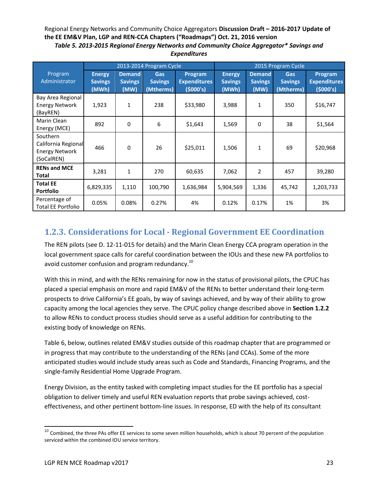Regional Energy Networks and Community Choice Aggregators **Discussion Draft – 2016-2017 Update of the EE EM&V Plan, LGP and REN-CCA Chapters ("Roadmaps") Oct. 21, 2016 version** *Table 5. 2013-2015 Regional Energy Networks and Community Choice Aggregator\* Savings and* 

|                                                                        |                                          |                                         | 2013-2014 Program Cycle            |                                             | 2015 Program Cycle                       |                                         |                                    |                                             |
|------------------------------------------------------------------------|------------------------------------------|-----------------------------------------|------------------------------------|---------------------------------------------|------------------------------------------|-----------------------------------------|------------------------------------|---------------------------------------------|
| Program<br>Administrator                                               | <b>Energy</b><br><b>Savings</b><br>(MWh) | <b>Demand</b><br><b>Savings</b><br>(MW) | Gas<br><b>Savings</b><br>(Mtherms) | Program<br><b>Expenditures</b><br>(\$000's) | <b>Energy</b><br><b>Savings</b><br>(MWh) | <b>Demand</b><br><b>Savings</b><br>(MW) | Gas<br><b>Savings</b><br>(Mtherms) | Program<br><b>Expenditures</b><br>(\$000's) |
| Bay Area Regional<br><b>Energy Network</b><br>(BayREN)                 | 1,923                                    | 1                                       | 238                                | \$33,980                                    | 3,988                                    | 1                                       | 350                                | \$16,747                                    |
| Marin Clean<br>Energy (MCE)                                            | 892                                      | 0                                       | $\boldsymbol{6}$                   | \$1,643                                     | 1,569                                    | $\mathbf 0$                             | 38                                 | \$1,564                                     |
| Southern<br>California Regional<br><b>Energy Network</b><br>(SoCalREN) | 466                                      | 0                                       | 26                                 | \$25,011                                    | 1,506                                    | 1                                       | 69                                 | \$20,968                                    |
| <b>RENs and MCE</b><br><b>Total</b>                                    | 3,281                                    | 1                                       | 270                                | 60,635                                      | 7,062                                    | 2                                       | 457                                | 39,280                                      |
| <b>Total EE</b><br><b>Portfolio</b>                                    | 6,829,335                                | 1,110                                   | 100,790                            | 1,636,984                                   | 5,904,569                                | 1,336                                   | 45,742                             | 1,203,733                                   |
| Percentage of<br><b>Total EE Portfolio</b>                             | 0.05%                                    | 0.08%                                   | 0.27%                              | 4%                                          | 0.12%                                    | 0.17%                                   | 1%                                 | 3%                                          |

# <span id="page-22-0"></span>*Expenditures*

# **1.2.3. Considerations for Local - Regional Government EE Coordination**

The REN pilots (see D. 12-11-015 for details) and the Marin Clean Energy CCA program operation in the local government space calls for careful coordination between the IOUs and these new PA portfolios to avoid customer confusion and program redundancy.<sup>10</sup>

With this in mind, and with the RENs remaining for now in the status of provisional pilots, the CPUC has placed a special emphasis on more and rapid EM&V of the RENs to better understand their long-term prospects to drive California's EE goals, by way of savings achieved, and by way of their ability to grow capacity among the local agencies they serve. The CPUC policy change described above in **Section 1.2.2** to allow RENs to conduct process studies should serve as a useful addition for contributing to the existing body of knowledge on RENs.

Table 6, below, outlines related EM&V studies outside of this roadmap chapter that are programmed or in progress that may contribute to the understanding of the RENs (and CCAs). Some of the more anticipated studies would include study areas such as Code and Standards, Financing Programs, and the single-family Residential Home Upgrade Program.

Energy Division, as the entity tasked with completing impact studies for the EE portfolio has a special obligation to deliver timely and useful REN evaluation reports that probe savings achieved, costeffectiveness, and other pertinent bottom-line issues. In response, ED with the help of its consultant

l  $^{10}$  Combined, the three PAs offer EE services to some seven million households, which is about 70 percent of the population serviced within the combined IOU service territory.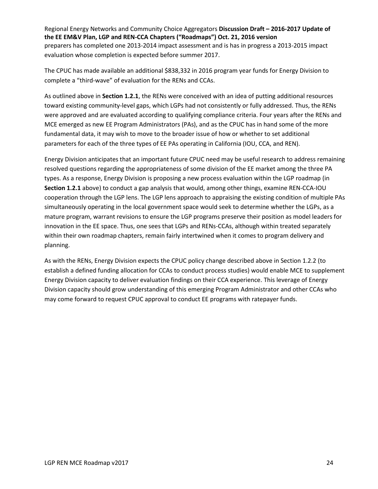Regional Energy Networks and Community Choice Aggregators **Discussion Draft – 2016-2017 Update of the EE EM&V Plan, LGP and REN-CCA Chapters ("Roadmaps") Oct. 21, 2016 version** preparers has completed one 2013-2014 impact assessment and is has in progress a 2013-2015 impact evaluation whose completion is expected before summer 2017.

The CPUC has made available an additional \$838,332 in 2016 program year funds for Energy Division to complete a "third-wave" of evaluation for the RENs and CCAs.

As outlined above in **Section 1.2.1**, the RENs were conceived with an idea of putting additional resources toward existing community-level gaps, which LGPs had not consistently or fully addressed. Thus, the RENs were approved and are evaluated according to qualifying compliance criteria. Four years after the RENs and MCE emerged as new EE Program Administrators (PAs), and as the CPUC has in hand some of the more fundamental data, it may wish to move to the broader issue of how or whether to set additional parameters for each of the three types of EE PAs operating in California (IOU, CCA, and REN).

Energy Division anticipates that an important future CPUC need may be useful research to address remaining resolved questions regarding the appropriateness of some division of the EE market among the three PA types. As a response, Energy Division is proposing a new process evaluation within the LGP roadmap (in **Section 1.2.1** above) to conduct a gap analysis that would, among other things, examine REN-CCA-IOU cooperation through the LGP lens. The LGP lens approach to appraising the existing condition of multiple PAs simultaneously operating in the local government space would seek to determine whether the LGPs, as a mature program, warrant revisions to ensure the LGP programs preserve their position as model leaders for innovation in the EE space. Thus, one sees that LGPs and RENs-CCAs, although within treated separately within their own roadmap chapters, remain fairly intertwined when it comes to program delivery and planning.

As with the RENs, Energy Division expects the CPUC policy change described above in Section 1.2.2 (to establish a defined funding allocation for CCAs to conduct process studies) would enable MCE to supplement Energy Division capacity to deliver evaluation findings on their CCA experience. This leverage of Energy Division capacity should grow understanding of this emerging Program Administrator and other CCAs who may come forward to request CPUC approval to conduct EE programs with ratepayer funds.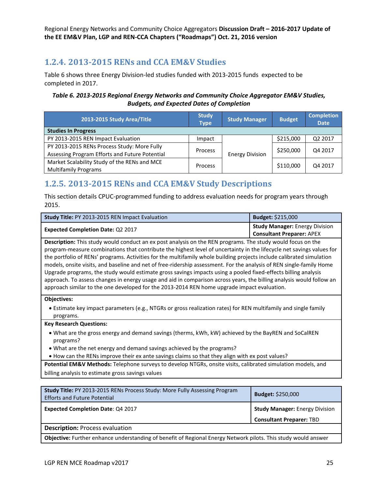### **1.2.4. 2013-2015 RENs and CCA EM&V Studies**

[Table 6](#page-24-0) shows three Energy Division-led studies funded with 2013-2015 funds expected to be completed in 2017.

#### <span id="page-24-0"></span>*Table 6. 2013-2015 Regional Energy Networks and Community Choice Aggregator EM&V Studies, Budgets, and Expected Dates of Completion*

| 2013-2015 Study Area/Title                     | <b>Study</b><br><b>Type</b> | <b>Study Manager</b>   | <b>Budget</b> | <b>Completion</b><br><b>Date</b> |
|------------------------------------------------|-----------------------------|------------------------|---------------|----------------------------------|
| <b>Studies In Progress</b>                     |                             |                        |               |                                  |
| PY 2013-2015 REN Impact Evaluation             | Impact                      |                        | \$215,000     | Q2 2017                          |
| PY 2013-2015 RENs Process Study: More Fully    | <b>Process</b>              |                        | \$250,000     | Q4 2017                          |
| Assessing Program Efforts and Future Potential |                             | <b>Energy Division</b> |               |                                  |
| Market Scalability Study of the RENs and MCE   | <b>Process</b>              |                        | \$110,000     | Q4 2017                          |
| <b>Multifamily Programs</b>                    |                             |                        |               |                                  |

### **1.2.5. 2013-2015 RENs and CCA EM&V Study Descriptions**

This section details CPUC-programmed funding to address evaluation needs for program years through 2015.

| <b>Study Title: PY 2013-2015 REN Impact Evaluation</b>                                                                                                                                                                                                                                                                                                                                                                                                                                                                                                                                                                                                                                                                                                                                                                         | Budget: \$215,000                                                         |  |  |  |  |  |
|--------------------------------------------------------------------------------------------------------------------------------------------------------------------------------------------------------------------------------------------------------------------------------------------------------------------------------------------------------------------------------------------------------------------------------------------------------------------------------------------------------------------------------------------------------------------------------------------------------------------------------------------------------------------------------------------------------------------------------------------------------------------------------------------------------------------------------|---------------------------------------------------------------------------|--|--|--|--|--|
| <b>Expected Completion Date: Q2 2017</b>                                                                                                                                                                                                                                                                                                                                                                                                                                                                                                                                                                                                                                                                                                                                                                                       | <b>Study Manager: Energy Division</b><br><b>Consultant Preparer: APEX</b> |  |  |  |  |  |
| Description: This study would conduct an ex post analysis on the REN programs. The study would focus on the<br>program-measure combinations that contribute the highest level of uncertainty in the lifecycle net savings values for<br>the portfolio of RENs' programs. Activities for the multifamily whole building projects include calibrated simulation<br>models, onsite visits, and baseline and net of free-ridership assessment. For the analysis of REN single-family Home<br>Upgrade programs, the study would estimate gross savings impacts using a pooled fixed-effects billing analysis<br>approach. To assess changes in energy usage and aid in comparison across years, the billing analysis would follow an<br>approach similar to the one developed for the 2013-2014 REN home upgrade impact evaluation. |                                                                           |  |  |  |  |  |
| <b>Objectives:</b><br>• Estimate key impact parameters (e.g., NTGRs or gross realization rates) for REN multifamily and single family<br>programs.                                                                                                                                                                                                                                                                                                                                                                                                                                                                                                                                                                                                                                                                             |                                                                           |  |  |  |  |  |
| <b>Key Research Questions:</b>                                                                                                                                                                                                                                                                                                                                                                                                                                                                                                                                                                                                                                                                                                                                                                                                 |                                                                           |  |  |  |  |  |
| • What are the gross energy and demand savings (therms, kWh, kW) achieved by the BayREN and SoCalREN<br>programs?<br>• What are the net energy and demand savings achieved by the programs?                                                                                                                                                                                                                                                                                                                                                                                                                                                                                                                                                                                                                                    |                                                                           |  |  |  |  |  |
| • How can the RENs improve their ex ante savings claims so that they align with ex post values?<br>Potential EM&V Methods: Telephone surveys to develop NTGRs, onsite visits, calibrated simulation models, and                                                                                                                                                                                                                                                                                                                                                                                                                                                                                                                                                                                                                |                                                                           |  |  |  |  |  |
| billing analysis to estimate gross savings values                                                                                                                                                                                                                                                                                                                                                                                                                                                                                                                                                                                                                                                                                                                                                                              |                                                                           |  |  |  |  |  |
|                                                                                                                                                                                                                                                                                                                                                                                                                                                                                                                                                                                                                                                                                                                                                                                                                                |                                                                           |  |  |  |  |  |
| Study Title: PY 2013-2015 RENs Process Study: More Fully Assessing Program<br>Budget: \$250,000<br><b>Efforts and Future Potential</b>                                                                                                                                                                                                                                                                                                                                                                                                                                                                                                                                                                                                                                                                                         |                                                                           |  |  |  |  |  |
| <b>Expected Completion Date: Q4 2017</b><br><b>Study Manager: Energy Division</b>                                                                                                                                                                                                                                                                                                                                                                                                                                                                                                                                                                                                                                                                                                                                              |                                                                           |  |  |  |  |  |
|                                                                                                                                                                                                                                                                                                                                                                                                                                                                                                                                                                                                                                                                                                                                                                                                                                | <b>Consultant Preparer: TBD</b>                                           |  |  |  |  |  |
| <b>Description: Process evaluation</b>                                                                                                                                                                                                                                                                                                                                                                                                                                                                                                                                                                                                                                                                                                                                                                                         |                                                                           |  |  |  |  |  |

**Objective:** Further enhance understanding of benefit of Regional Energy Network pilots. This study would answer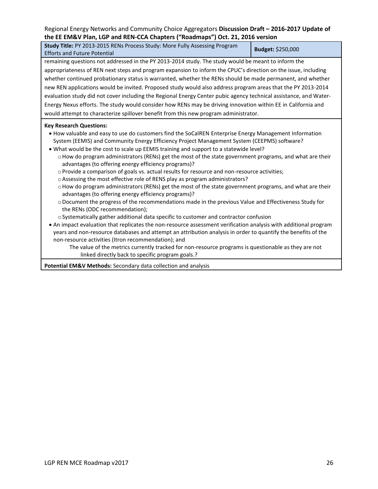| Study Title: PY 2013-2015 RENs Process Study: More Fully Assessing Program<br>Budget: \$250,000                                                                  |  |  |  |  |  |
|------------------------------------------------------------------------------------------------------------------------------------------------------------------|--|--|--|--|--|
| <b>Efforts and Future Potential</b>                                                                                                                              |  |  |  |  |  |
| remaining questions not addressed in the PY 2013-2014 study. The study would be meant to inform the                                                              |  |  |  |  |  |
| appropriateness of REN next steps and program expansion to inform the CPUC's direction on the issue, including                                                   |  |  |  |  |  |
| whether continued probationary status is warranted, whether the RENs should be made permanent, and whether                                                       |  |  |  |  |  |
| new REN applications would be invited. Proposed study would also address program areas that the PY 2013-2014                                                     |  |  |  |  |  |
| evaluation study did not cover including the Regional Energy Center pubic agency technical assistance, and Water-                                                |  |  |  |  |  |
| Energy Nexus efforts. The study would consider how RENs may be driving innovation within EE in California and                                                    |  |  |  |  |  |
| would attempt to characterize spillover benefit from this new program administrator.                                                                             |  |  |  |  |  |
| <b>Key Research Questions:</b>                                                                                                                                   |  |  |  |  |  |
| . How valuable and easy to use do customers find the SoCalREN Enterprise Energy Management Information                                                           |  |  |  |  |  |
| System (EEMIS) and Community Energy Efficiency Project Management System (CEEPMS) software?                                                                      |  |  |  |  |  |
| . What would be the cost to scale up EEMIS training and support to a statewide level?                                                                            |  |  |  |  |  |
| o How do program administrators (RENs) get the most of the state government programs, and what are their                                                         |  |  |  |  |  |
| advantages (to offering energy efficiency programs)?                                                                                                             |  |  |  |  |  |
| o Provide a comparison of goals vs. actual results for resource and non-resource activities;                                                                     |  |  |  |  |  |
| o Assessing the most effective role of RENS play as program administrators?                                                                                      |  |  |  |  |  |
| o How do program administrators (RENs) get the most of the state government programs, and what are their<br>advantages (to offering energy efficiency programs)? |  |  |  |  |  |
| o Document the progress of the recommendations made in the previous Value and Effectiveness Study for                                                            |  |  |  |  |  |
| the RENs (ODC recommendation);                                                                                                                                   |  |  |  |  |  |
| o Systematically gather additional data specific to customer and contractor confusion                                                                            |  |  |  |  |  |
| • An impact evaluation that replicates the non-resource assessment verification analysis with additional program                                                 |  |  |  |  |  |
| years and non-resource databases and attempt an attribution analysis in order to quantify the benefits of the                                                    |  |  |  |  |  |
| non-resource activities (Itron recommendation); and                                                                                                              |  |  |  |  |  |
| The value of the metrics currently tracked for non-resource programs is questionable as they are not                                                             |  |  |  |  |  |
| linked directly back to specific program goals.?                                                                                                                 |  |  |  |  |  |
| Potential EM&V Methods: Secondary data collection and analysis                                                                                                   |  |  |  |  |  |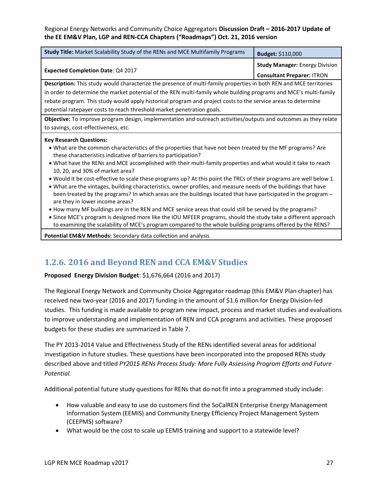| Study Title: Market Scalability Study of the RENs and MCE Multifamily Programs                                                                                                                                                                                                                                                                                                                                                                                                                                                                                                                                                                                                                                                                                                                                                                                                                                                                                                                                                                                                                                                                                                 | Budget: \$110,000                                                          |
|--------------------------------------------------------------------------------------------------------------------------------------------------------------------------------------------------------------------------------------------------------------------------------------------------------------------------------------------------------------------------------------------------------------------------------------------------------------------------------------------------------------------------------------------------------------------------------------------------------------------------------------------------------------------------------------------------------------------------------------------------------------------------------------------------------------------------------------------------------------------------------------------------------------------------------------------------------------------------------------------------------------------------------------------------------------------------------------------------------------------------------------------------------------------------------|----------------------------------------------------------------------------|
| <b>Expected Completion Date: Q4 2017</b>                                                                                                                                                                                                                                                                                                                                                                                                                                                                                                                                                                                                                                                                                                                                                                                                                                                                                                                                                                                                                                                                                                                                       | <b>Study Manager: Energy Division</b><br><b>Consultant Preparer: ITRON</b> |
| Description: This study would characterize the presence of multi-family properties in both REN and MCE territories                                                                                                                                                                                                                                                                                                                                                                                                                                                                                                                                                                                                                                                                                                                                                                                                                                                                                                                                                                                                                                                             |                                                                            |
| in order to determine the market potential of the REN multi-family whole building programs and MCE's multi-family                                                                                                                                                                                                                                                                                                                                                                                                                                                                                                                                                                                                                                                                                                                                                                                                                                                                                                                                                                                                                                                              |                                                                            |
| rebate program. This study would apply historical program and project costs to the service areas to determine                                                                                                                                                                                                                                                                                                                                                                                                                                                                                                                                                                                                                                                                                                                                                                                                                                                                                                                                                                                                                                                                  |                                                                            |
| potential ratepayer costs to reach threshold market penetration goals.                                                                                                                                                                                                                                                                                                                                                                                                                                                                                                                                                                                                                                                                                                                                                                                                                                                                                                                                                                                                                                                                                                         |                                                                            |
| Objective: To improve program design, implementation and outreach activities/outputs and outcomes as they relate<br>to savings, cost-effectiveness, etc.                                                                                                                                                                                                                                                                                                                                                                                                                                                                                                                                                                                                                                                                                                                                                                                                                                                                                                                                                                                                                       |                                                                            |
| <b>Key Research Questions:</b><br>• What are the common characteristics of the properties that have not been treated by the MF programs? Are<br>these characteristics indicative of barriers to participation?<br>. What have the RENs and MCE accomplished with their multi-family properties and what would it take to reach<br>10, 20, and 30% of market area?<br>• Would it be cost-effective to scale these programs up? At this point the TRCs of their programs are well below 1.<br>. What are the vintages, building characteristics, owner profiles, and measure needs of the buildings that have<br>been treated by the programs? In which areas are the buildings located that have participated in the program -<br>are they in lower income areas?<br>• How many MF buildings are in the REN and MCE service areas that could still be served by the programs?<br>• Since MCE's program is designed more like the IOU MFEER programs, should the study take a different approach<br>to examining the scalability of MCE's program compared to the whole building programs offered by the RENS?<br>Potential EM&V Methods: Secondary data collection and analysis |                                                                            |

### **1.2.6. 2016 and Beyond REN and CCA EM&V Studies**

**Proposed Energy Division Budget**: \$1,676,664 (2016 and 2017)

The Regional Energy Network and Community Choice Aggregator roadmap (this EM&V Plan chapter) has received new two-year (2016 and 2017) funding in the amount of \$1.6 million for Energy Division-led studies. This funding is made available to program new impact, process and market studies and evaluations to improve understanding and implementation of REN and CCA programs and activities. These proposed budgets for these studies are summarized in Table 7.

The PY 2013-2014 Value and Effectiveness Study of the RENs identified several areas for additional investigation in future studies. These questions have been incorporated into the proposed RENs study described above and titled *PY2015 RENs Process Study: More Fully Assessing Program Efforts and Future Potential.*

Additional potential future study questions for RENs that do not fit into a programmed study include:

- How valuable and easy to use do customers find the SoCalREN Enterprise Energy Management Information System (EEMIS) and Community Energy Efficiency Project Management System (CEEPMS) software?
- What would be the cost to scale up EEMIS training and support to a statewide level?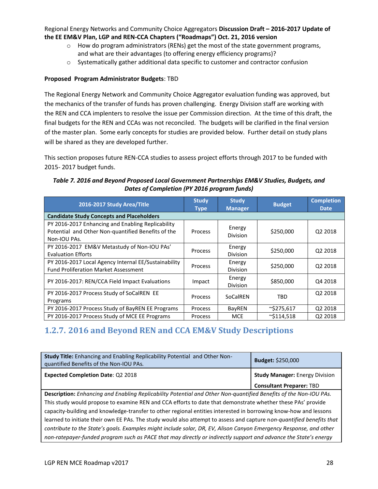- $\circ$  How do program administrators (RENs) get the most of the state government programs, and what are their advantages (to offering energy efficiency programs)?
- o Systematically gather additional data specific to customer and contractor confusion

#### **Proposed Program Administrator Budgets**: TBD

The Regional Energy Network and Community Choice Aggregator evaluation funding was approved, but the mechanics of the transfer of funds has proven challenging. Energy Division staff are working with the REN and CCA implenters to resolve the issue per Commission direction. At the time of this draft, the final budgets for the REN and CCAs was not reconciled. The budgets will be clarified in the final version of the master plan. Some early concepts for studies are provided below. Further detail on study plans will be shared as they are developed further.

This section proposes future REN-CCA studies to assess project efforts through 2017 to be funded with 2015- 2017 budget funds.

#### *Table 7. 2016 and Beyond Proposed Local Government Partnerships EM&V Studies, Budgets, and Dates of Completion (PY 2016 program funds)*

| 2016-2017 Study Area/Title                                                                                              | <b>Study</b><br><b>Type</b> | <b>Study</b><br><b>Manager</b>         | <b>Budget</b>       | <b>Completion</b><br><b>Date</b> |  |
|-------------------------------------------------------------------------------------------------------------------------|-----------------------------|----------------------------------------|---------------------|----------------------------------|--|
| <b>Candidate Study Concepts and Placeholders</b>                                                                        |                             |                                        |                     |                                  |  |
| PY 2016-2017 Enhancing and Enabling Replicability<br>Potential and Other Non-quantified Benefits of the<br>Non-IOU PAs. | Process                     | Energy<br><b>Division</b>              | \$250,000           | Q <sub>2</sub> 2018              |  |
| PY 2016-2017 EM&V Metastudy of Non-IOU PAs'<br><b>Evaluation Efforts</b>                                                | Process                     | Energy<br>\$250,000<br><b>Division</b> |                     | Q <sub>2</sub> 2018              |  |
| PY 2016-2017 Local Agency Internal EE/Sustainability<br><b>Fund Proliferation Market Assessment</b>                     | Process                     | Energy<br><b>Division</b>              | \$250,000           | Q2 2018                          |  |
| PY 2016-2017: REN/CCA Field Impact Evaluations                                                                          | Impact                      | Energy<br><b>Division</b>              | \$850,000           | Q4 2018                          |  |
| PY 2016-2017 Process Study of SoCalREN EE<br>Programs                                                                   | <b>Process</b>              | SoCalREN                               | TBD                 | Q2 2018                          |  |
| PY 2016-2017 Process Study of BayREN EE Programs                                                                        | Process                     | BayREN                                 | $\sim$ \$275,617    | Q2 2018                          |  |
| PY 2016-2017 Process Study of MCE EE Programs                                                                           | Process                     | <b>MCE</b>                             | $^{\sim}$ \$114.518 | Q2 2018                          |  |

# **1.2.7. 2016 and Beyond REN and CCA EM&V Study Descriptions**

| Study Title: Enhancing and Enabling Replicability Potential and Other Non-<br>quantified Benefits of the Non-IOU PAs. | Budget: \$250,000                     |  |  |  |
|-----------------------------------------------------------------------------------------------------------------------|---------------------------------------|--|--|--|
| <b>Expected Completion Date: Q2 2018</b>                                                                              | <b>Study Manager: Energy Division</b> |  |  |  |
|                                                                                                                       | <b>Consultant Preparer: TBD</b>       |  |  |  |
| Description: Enhancing and Enabling Replicability Potential and Other Non-quantified Benefits of the Non-IOU PAs.     |                                       |  |  |  |
| This study would propose to examine REN and CCA efforts to date that demonstrate whether these PAs' provide           |                                       |  |  |  |
| capacity-building and knowledge-transfer to other regional entities interested in borrowing know-how and lessons      |                                       |  |  |  |
| learned to initiate their own EE PAs. The study would also attempt to assess and capture non-quantified benefits that |                                       |  |  |  |
| contribute to the State's goals. Examples might include solar, DR, EV, Alison Canyon Emergency Response, and other    |                                       |  |  |  |
| non-ratepayer-funded program such as PACE that may directly or indirectly support and advance the State's energy      |                                       |  |  |  |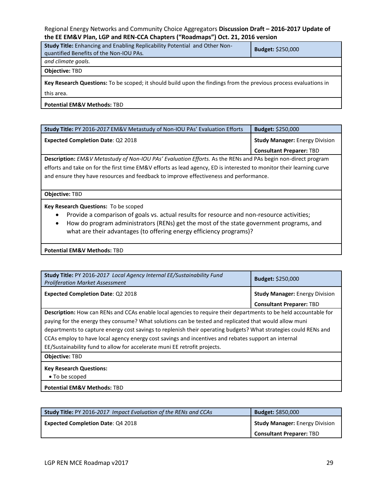| <b>Study Title:</b> Enhancing and Enabling Replicability Potential and Other Non-<br>quantified Benefits of the Non-IOU PAs.   | <b>Budget: \$250,000</b> |  |  |  |
|--------------------------------------------------------------------------------------------------------------------------------|--------------------------|--|--|--|
| and climate goals.                                                                                                             |                          |  |  |  |
| <b>Objective: TBD</b>                                                                                                          |                          |  |  |  |
| Key Research Questions: To be scoped; it should build upon the findings from the previous process evaluations in<br>this area. |                          |  |  |  |
|                                                                                                                                |                          |  |  |  |

**Potential EM&V Methods:** TBD

| Study Title: PY 2016-2017 EM&V Metastudy of Non-IOU PAs' Evaluation Efforts                                                                                                                                                                                                                                                   | Budget: \$250,000                     |  |  |  |  |
|-------------------------------------------------------------------------------------------------------------------------------------------------------------------------------------------------------------------------------------------------------------------------------------------------------------------------------|---------------------------------------|--|--|--|--|
| <b>Expected Completion Date: Q2 2018</b>                                                                                                                                                                                                                                                                                      | <b>Study Manager: Energy Division</b> |  |  |  |  |
|                                                                                                                                                                                                                                                                                                                               | <b>Consultant Preparer: TBD</b>       |  |  |  |  |
| Description: EM&V Metastudy of Non-IOU PAs' Evaluation Efforts. As the RENs and PAs begin non-direct program<br>efforts and take on for the first time EM&V efforts as lead agency, ED is interested to monitor their learning curve<br>and ensure they have resources and feedback to improve effectiveness and performance. |                                       |  |  |  |  |
| Objective: TBD                                                                                                                                                                                                                                                                                                                |                                       |  |  |  |  |
| Key Research Questions: To be scoped                                                                                                                                                                                                                                                                                          |                                       |  |  |  |  |

- Provide a comparison of goals vs. actual results for resource and non-resource activities;
- How do program administrators (RENs) get the most of the state government programs, and what are their advantages (to offering energy efficiency programs)?

**Potential EM&V Methods:** TBD

| Study Title: PY 2016-2017 Local Agency Internal EE/Sustainability Fund<br><b>Proliferation Market Assessment</b> | <b>Budget: \$250,000</b>              |  |  |  |
|------------------------------------------------------------------------------------------------------------------|---------------------------------------|--|--|--|
| <b>Expected Completion Date: Q2 2018</b>                                                                         | <b>Study Manager: Energy Division</b> |  |  |  |
|                                                                                                                  | <b>Consultant Preparer: TBD</b>       |  |  |  |
| Description: How can RENs and CCAs enable local agencies to require their departments to be held accountable for |                                       |  |  |  |
| paying for the energy they consume? What solutions can be tested and replicated that would allow muni            |                                       |  |  |  |
| departments to capture energy cost savings to replenish their operating budgets? What strategies could RENs and  |                                       |  |  |  |
| CCAs employ to have local agency energy cost savings and incentives and rebates support an internal              |                                       |  |  |  |
| EE/Sustainability fund to allow for accelerate muni EE retrofit projects.                                        |                                       |  |  |  |
| <b>Objective: TBD</b>                                                                                            |                                       |  |  |  |
| <b>Key Research Questions:</b><br>• To be scoped                                                                 |                                       |  |  |  |
| <b>Potential EM&amp;V Methods: TBD</b>                                                                           |                                       |  |  |  |

| <b>Study Title:</b> PY 2016-2017 Impact Evaluation of the RENs and CCAs | <b>Budget: \$850,000</b>              |
|-------------------------------------------------------------------------|---------------------------------------|
| <b>Expected Completion Date: Q4 2018</b>                                | <b>Study Manager: Energy Division</b> |
|                                                                         | Consultant Preparer: TBD              |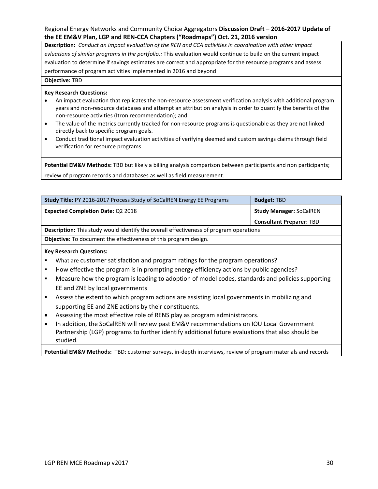**Description:** *Conduct an impact evaluation of the REN and CCA activities in coordination with other impact evluations of similar programs in the portfolio.:* This evaluation would continue to build on the current impact evaluation to determine if savings estimates are correct and appropriate for the resource programs and assess performance of program activities implemented in 2016 and beyond

**Objective:** TBD

#### **Key Research Questions:**

- An impact evaluation that replicates the non-resource assessment verification analysis with additional program years and non-resource databases and attempt an attribution analysis in order to quantify the benefits of the non-resource activities (Itron recommendation); and
- The value of the metrics currently tracked for non-resource programs is questionable as they are not linked directly back to specific program goals.
- Conduct traditional impact evaluation activities of verifying deemed and custom savings claims through field verification for resource programs.

**Potential EM&V Methods:** TBD but likely a billing analysis comparison between participants and non participants; review of program records and databases as well as field measurement.

| Study Title: PY 2016-2017 Process Study of SoCalREN Energy EE Programs                                      | <b>Budget: TBD</b>              |  |  |  |
|-------------------------------------------------------------------------------------------------------------|---------------------------------|--|--|--|
| <b>Expected Completion Date: Q2 2018</b>                                                                    | <b>Study Manager: SoCalREN</b>  |  |  |  |
|                                                                                                             | <b>Consultant Preparer: TBD</b> |  |  |  |
| <b>Description:</b> This study would identify the overall effectiveness of program operations               |                                 |  |  |  |
| <b>Objective:</b> To document the effectiveness of this program design.                                     |                                 |  |  |  |
| <b>Key Research Questions:</b>                                                                              |                                 |  |  |  |
| What are customer satisfaction and program ratings for the program operations?                              |                                 |  |  |  |
| How effective the program is in prompting energy efficiency actions by public agencies?<br>٠                |                                 |  |  |  |
| Measure how the program is leading to adoption of model codes, standards and policies supporting<br>٠       |                                 |  |  |  |
| EE and ZNE by local governments                                                                             |                                 |  |  |  |
| Assess the extent to which program actions are assisting local governments in mobilizing and<br>٠           |                                 |  |  |  |
| supporting EE and ZNE actions by their constituents.                                                        |                                 |  |  |  |
| Assessing the most effective role of RENS play as program administrators.<br>٠                              |                                 |  |  |  |
| In addition, the SoCalREN will review past EM&V recommendations on IOU Local Government<br>$\bullet$        |                                 |  |  |  |
| Partnership (LGP) programs to further identify additional future evaluations that also should be            |                                 |  |  |  |
| studied.                                                                                                    |                                 |  |  |  |
| Potential EM&V Methods: TBD: customer surveys, in-depth interviews, review of program materials and records |                                 |  |  |  |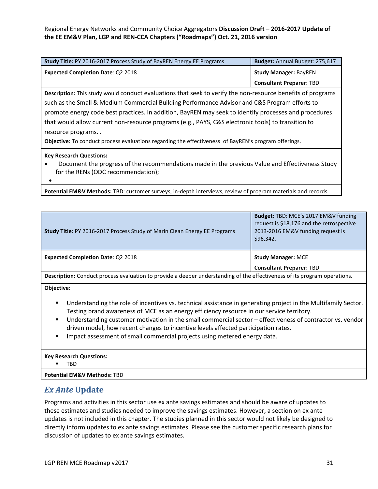| <b>Study Title: PY 2016-2017 Process Study of BayREN Energy EE Programs</b>                                 | Budget: Annual Budget: 275,617  |  |  |  |
|-------------------------------------------------------------------------------------------------------------|---------------------------------|--|--|--|
| <b>Expected Completion Date: Q2 2018</b>                                                                    | <b>Study Manager: BayREN</b>    |  |  |  |
|                                                                                                             | <b>Consultant Preparer: TBD</b> |  |  |  |
| Description: This study would conduct evaluations that seek to verify the non-resource benefits of programs |                                 |  |  |  |
| such as the Small & Medium Commercial Building Performance Advisor and C&S Program efforts to               |                                 |  |  |  |
| promote energy code best practices. In addition, BayREN may seek to identify processes and procedures       |                                 |  |  |  |
| that would allow current non-resource programs (e.g., PAYS, C&S electronic tools) to transition to          |                                 |  |  |  |
| resource programs                                                                                           |                                 |  |  |  |
| <b>Objective:</b> To conduct process evaluations regarding the effectiveness of BayREN's program offerings. |                                 |  |  |  |

#### **Key Research Questions:**

 Document the progress of the recommendations made in the previous Value and Effectiveness Study for the RENs (ODC recommendation);

 $\bullet$ 

**Potential EM&V Methods:** TBD: customer surveys, in-depth interviews, review of program materials and records

| Study Title: PY 2016-2017 Process Study of Marin Clean Energy EE Programs                                                 | Budget: TBD: MCE's 2017 EM&V funding<br>request is \$18,176 and the retrospective<br>2013-2016 EM&V funding request is<br>\$96,342. |  |  |  |
|---------------------------------------------------------------------------------------------------------------------------|-------------------------------------------------------------------------------------------------------------------------------------|--|--|--|
| <b>Expected Completion Date: Q2 2018</b>                                                                                  | <b>Study Manager: MCE</b><br><b>Consultant Preparer: TBD</b>                                                                        |  |  |  |
| Description: Conduct process evaluation to provide a deeper understanding of the effectiveness of its program operations. |                                                                                                                                     |  |  |  |

**Objective:**

- Understanding the role of incentives vs. technical assistance in generating project in the Multifamily Sector. Testing brand awareness of MCE as an energy efficiency resource in our service territory.
- Understanding customer motivation in the small commercial sector effectiveness of contractor vs. vendor driven model, how recent changes to incentive levels affected participation rates.
- Impact assessment of small commercial projects using metered energy data.

#### **Key Research Questions:**

TBD

**Potential EM&V Methods:** TBD

### *Ex Ante* **Update**

Programs and activities in this sector use ex ante savings estimates and should be aware of updates to these estimates and studies needed to improve the savings estimates. However, a section on ex ante updates is not included in this chapter. The studies planned in this sector would not likely be designed to directly inform updates to ex ante savings estimates. Please see the customer specific research plans for discussion of updates to ex ante savings estimates.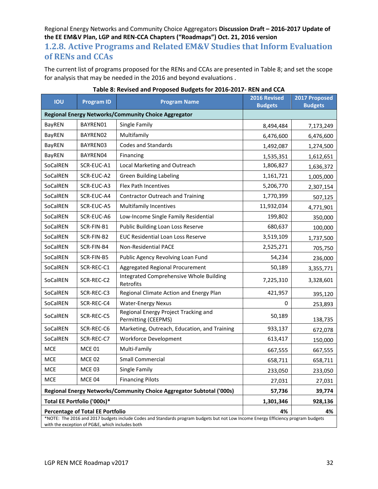### **1.2.8. Active Programs and Related EM&V Studies that Inform Evaluation of RENs and CCAs**

The current list of programs proposed for the RENs and CCAs are presented in Table 8; and set the scope for analysis that may be needed in the 2016 and beyond evaluations .

| <b>IOU</b>                                                                                                                                                                           | <b>Program ID</b>                       | <b>Program Name</b>                                                   | 2016 Revised<br><b>Budgets</b> | 2017 Proposed<br><b>Budgets</b> |  |
|--------------------------------------------------------------------------------------------------------------------------------------------------------------------------------------|-----------------------------------------|-----------------------------------------------------------------------|--------------------------------|---------------------------------|--|
|                                                                                                                                                                                      |                                         | Regional Energy Networks/Community Choice Aggregator                  |                                |                                 |  |
| <b>BayREN</b>                                                                                                                                                                        | BAYREN01                                | Single Family                                                         | 8,494,484                      | 7,173,249                       |  |
| BayREN                                                                                                                                                                               | BAYREN02                                | Multifamily                                                           | 6,476,600                      | 6,476,600                       |  |
| <b>BayREN</b>                                                                                                                                                                        | BAYREN03                                | <b>Codes and Standards</b>                                            | 1,274,500                      |                                 |  |
| BayREN                                                                                                                                                                               | BAYREN04                                | Financing                                                             | 1,535,351                      | 1,612,651                       |  |
| SoCalREN                                                                                                                                                                             | SCR-EUC-A1                              | Local Marketing and Outreach                                          | 1,806,827                      | 1,636,372                       |  |
| SoCalREN                                                                                                                                                                             | SCR-EUC-A2                              | <b>Green Building Labeling</b>                                        | 1,161,721                      | 1,005,000                       |  |
| SoCalREN                                                                                                                                                                             | SCR-EUC-A3                              | Flex Path Incentives                                                  | 5,206,770                      | 2,307,154                       |  |
| SoCalREN                                                                                                                                                                             | SCR-EUC-A4                              | <b>Contractor Outreach and Training</b>                               | 1,770,399                      | 507,125                         |  |
| SoCalREN                                                                                                                                                                             | SCR-EUC-A5                              | <b>Multifamily Incentives</b>                                         | 11,932,034                     | 4,771,901                       |  |
| SoCalREN                                                                                                                                                                             | SCR-EUC-A6                              | Low-Income Single Family Residential                                  | 199,802                        | 350,000                         |  |
| SoCalREN                                                                                                                                                                             | SCR-FIN-B1                              | Public Building Loan Loss Reserve                                     | 680,637                        | 100,000                         |  |
| SoCalREN                                                                                                                                                                             | SCR-FIN-B2                              | EUC Residential Loan Loss Reserve                                     | 3,519,109                      | 1,737,500                       |  |
| SoCalREN                                                                                                                                                                             | SCR-FIN-B4                              | Non-Residential PACE                                                  | 2,525,271                      | 705,750                         |  |
| SoCalREN                                                                                                                                                                             | SCR-FIN-B5                              | Public Agency Revolving Loan Fund                                     | 54,234                         | 236,000                         |  |
| SoCalREN                                                                                                                                                                             | SCR-REC-C1                              | Aggregated Regional Procurement                                       | 50,189                         | 3,355,771                       |  |
| SoCalREN                                                                                                                                                                             | SCR-REC-C2                              | Integrated Comprehensive Whole Building<br>Retrofits                  | 7,225,310                      | 3,328,601                       |  |
| SoCalREN                                                                                                                                                                             | SCR-REC-C3                              | Regional Climate Action and Energy Plan                               | 421,957                        | 395,120                         |  |
| SoCalREN                                                                                                                                                                             | SCR-REC-C4                              | <b>Water-Energy Nexus</b>                                             | 0                              | 253,893                         |  |
| SoCalREN                                                                                                                                                                             | SCR-REC-C5                              | Regional Energy Project Tracking and<br>Permitting (CEEPMS)           | 50,189                         | 138,735                         |  |
| SoCalREN                                                                                                                                                                             | SCR-REC-C6                              | Marketing, Outreach, Education, and Training                          | 933,137                        | 672,078                         |  |
| SoCalREN                                                                                                                                                                             | SCR-REC-C7                              | <b>Workforce Development</b>                                          | 613,417                        | 150,000                         |  |
| <b>MCE</b>                                                                                                                                                                           | <b>MCE 01</b>                           | Multi-Family                                                          | 667,555                        | 667,555                         |  |
| <b>MCE</b>                                                                                                                                                                           | <b>MCE 02</b>                           | <b>Small Commercial</b>                                               | 658,711                        | 658,711                         |  |
| <b>MCE</b>                                                                                                                                                                           | <b>MCE 03</b>                           | Single Family                                                         | 233,050                        | 233,050                         |  |
| <b>MCE</b>                                                                                                                                                                           | MCE 04                                  | <b>Financing Pilots</b><br>27,031                                     |                                | 27,031                          |  |
|                                                                                                                                                                                      |                                         | Regional Energy Networks/Community Choice Aggregator Subtotal ('000s) | 57,736                         | 39,774                          |  |
|                                                                                                                                                                                      | Total EE Portfolio ('000s)*             |                                                                       | 1,301,346                      | 928,136                         |  |
|                                                                                                                                                                                      | <b>Percentage of Total EE Portfolio</b> |                                                                       | 4%                             | 4%                              |  |
| *NOTE: The 2016 and 2017 budgets include Codes and Standards program budgets but not Low Income Energy Efficiency program budgets<br>with the exception of PG&E, which includes both |                                         |                                                                       |                                |                                 |  |

| Table 8: Revised and Proposed Budgets for 2016-2017- REN and CCA |  |  |  |  |  |  |  |  |  |  |
|------------------------------------------------------------------|--|--|--|--|--|--|--|--|--|--|
|------------------------------------------------------------------|--|--|--|--|--|--|--|--|--|--|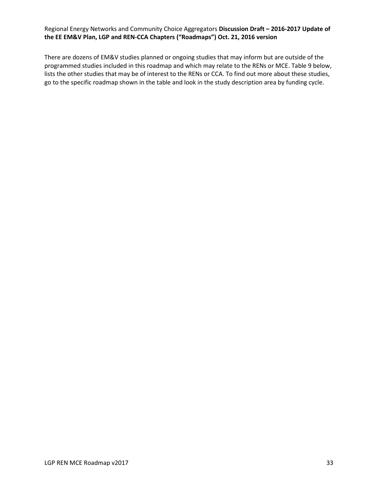There are dozens of EM&V studies planned or ongoing studies that may inform but are outside of the programmed studies included in this roadmap and which may relate to the RENs or MCE. Table 9 below, lists the other studies that may be of interest to the RENs or CCA. To find out more about these studies, go to the specific roadmap shown in the table and look in the study description area by funding cycle.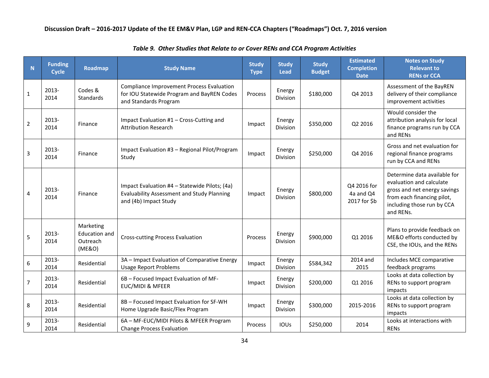| N              | <b>Funding</b><br><b>Cycle</b> | <b>Roadmap</b>                                          | <b>Study Name</b>                                                                                                           | <b>Study</b><br><b>Type</b> | <b>Study</b><br><b>Lead</b> | <b>Study</b><br><b>Budget</b> | <b>Estimated</b><br><b>Completion</b><br><b>Date</b> | <b>Notes on Study</b><br><b>Relevant to</b><br><b>RENs or CCA</b>                                                                                                 |
|----------------|--------------------------------|---------------------------------------------------------|-----------------------------------------------------------------------------------------------------------------------------|-----------------------------|-----------------------------|-------------------------------|------------------------------------------------------|-------------------------------------------------------------------------------------------------------------------------------------------------------------------|
| $\mathbf{1}$   | 2013-<br>2014                  | Codes &<br><b>Standards</b>                             | <b>Compliance Improvement Process Evaluation</b><br>for IOU Statewide Program and BayREN Codes<br>and Standards Program     | Process                     | Energy<br><b>Division</b>   | \$180,000                     | Q4 2013                                              | Assessment of the BayREN<br>delivery of their compliance<br>improvement activities                                                                                |
| $\overline{2}$ | 2013-<br>2014                  | Finance                                                 | Impact Evaluation #1 - Cross-Cutting and<br><b>Attribution Research</b>                                                     | Impact                      | Energy<br>Division          | \$350,000                     | Q2 2016                                              | Would consider the<br>attribution analysis for local<br>finance programs run by CCA<br>and RENs                                                                   |
| 3              | $2013 -$<br>2014               | Finance                                                 | Impact Evaluation #3 - Regional Pilot/Program<br>Study                                                                      | Impact                      | Energy<br><b>Division</b>   | \$250,000                     | Q4 2016                                              | Gross and net evaluation for<br>regional finance programs<br>run by CCA and RENs                                                                                  |
| $\overline{4}$ | 2013-<br>2014                  | Finance                                                 | Impact Evaluation #4 - Statewide Pilots; (4a)<br><b>Evaluability Assessment and Study Planning</b><br>and (4b) Impact Study | Impact                      | Energy<br><b>Division</b>   | \$800,000                     | Q4 2016 for<br>4a and Q4<br>2017 for \$b             | Determine data available for<br>evaluation and calculate<br>gross and net energy savings<br>from each financing pilot,<br>including those run by CCA<br>and RENs. |
| 5              | 2013-<br>2014                  | Marketing<br><b>Education and</b><br>Outreach<br>(ME&O) | <b>Cross-cutting Process Evaluation</b>                                                                                     | Process                     | Energy<br><b>Division</b>   | \$900,000                     | Q1 2016                                              | Plans to provide feedback on<br>ME&O efforts conducted by<br>CSE, the IOUs, and the RENs                                                                          |
| 6              | 2013-<br>2014                  | Residential                                             | 3A - Impact Evaluation of Comparative Energy<br><b>Usage Report Problems</b>                                                | Impact                      | Energy<br>Division          | \$584,342                     | 2014 and<br>2015                                     | Includes MCE comparative<br>feedback programs                                                                                                                     |
| $\overline{7}$ | 2013-<br>2014                  | Residential                                             | 6B - Focused Impact Evaluation of MF-<br><b>EUC/MIDI &amp; MFEER</b>                                                        | Impact                      | Energy<br><b>Division</b>   | \$200,000                     | Q1 2016                                              | Looks at data collection by<br>RENs to support program<br>impacts                                                                                                 |
| 8              | 2013-<br>2014                  | Residential                                             | 8B - Focused Impact Evaluation for SF-WH<br>Home Upgrade Basic/Flex Program                                                 | Impact                      | Energy<br><b>Division</b>   | \$300,000                     | 2015-2016                                            | Looks at data collection by<br>RENs to support program<br>impacts                                                                                                 |
| 9              | 2013-<br>2014                  | Residential                                             | 6A - MF-EUC/MIDI Pilots & MFEER Program<br><b>Change Process Evaluation</b>                                                 | Process                     | IOUS                        | \$250,000                     | 2014                                                 | Looks at interactions with<br>RENS                                                                                                                                |

*Table 9. Other Studies that Relate to or Cover RENs and CCA Program Activities*